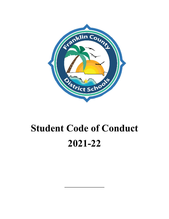

# **Student Code of Conduct 2021-22**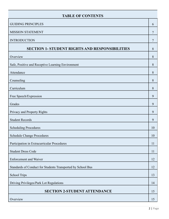| <b>TABLE OF CONTENTS</b>                                    |    |
|-------------------------------------------------------------|----|
| <b>GUIDING PRINCIPLES</b>                                   | 6  |
| <b>MISSION STATEMENT</b>                                    | 7  |
| <b>INTRODUCTION</b>                                         | 7  |
| <b>SECTION 1- STUDENT RIGHTS AND RESPONSIBILITIES</b>       | 8  |
| Overview                                                    | 8  |
| Safe, Positive and Receptive Learning Environment           | 8  |
| Attendance                                                  | 8  |
| Counseling                                                  | 8  |
| Curriculum                                                  | 8  |
| Free Speech/Expression                                      | 9  |
| Grades                                                      | 9  |
| Privacy and Property Rights                                 | 9  |
| <b>Student Records</b>                                      | 9  |
| <b>Scheduling Procedures</b>                                | 10 |
| <b>Schedule Change Procedures</b>                           | 10 |
| Participation in Extracurricular Procedures                 | 11 |
| <b>Student Dress Code</b>                                   | 11 |
| <b>Enforcement and Waiver</b>                               | 12 |
| Standards of Conduct for Students Transported by School Bus | 12 |
| <b>School Trips</b>                                         | 13 |
| Driving Privileges/Park Lot Regulations                     | 14 |
| <b>SECTION 2-STUDENT ATTENDANCE</b>                         | 15 |
| Overview                                                    | 15 |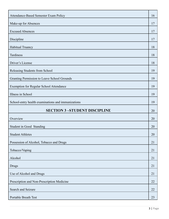| Attendance-Based Semester Exam Policy              | 16 |
|----------------------------------------------------|----|
| Make-up for Absences                               | 17 |
| <b>Excused Absences</b>                            | 17 |
| Discipline                                         | 17 |
| Habitual Truancy                                   | 18 |
| Tardiness                                          | 18 |
| Driver's License                                   | 18 |
| Releasing Students from School                     | 19 |
| Granting Permission to Leave School Grounds        | 19 |
| Exemption for Regular School Attendance            | 19 |
| Illness in School                                  | 19 |
| School-entry health examinations and immunizations | 19 |
| <b>SECTION 3-STUDENT DISCIPLINE</b>                | 20 |
|                                                    |    |
| Overview                                           | 20 |
| Student in Good Standing                           | 20 |
| <b>Student Athletes</b>                            | 20 |
| Possession of Alcohol, Tobacco and Drugs           | 21 |
| Tobacco/Vaping                                     | 21 |
| Alcohol                                            | 21 |
| Drugs                                              | 21 |
| Use of Alcohol and Drugs                           | 21 |
| Prescription and Non-Prescription Medicine         | 22 |
| Search and Seizure                                 | 22 |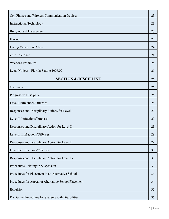| Cell Phones and Wireless Communication Devices        | 23     |
|-------------------------------------------------------|--------|
| <b>Instructional Technology</b>                       | 23     |
| <b>Bullying and Harassment</b>                        | 23     |
| Hazing                                                | 23     |
| Dating Violence & Abuse                               | 24     |
| Zero Tolerance                                        | 24     |
| <b>Weapons Prohibited</b>                             | 24     |
| Legal Notices - Florida Statute 1006.07               | 25     |
| <b>SECTION 4 -DISCIPLINE</b>                          | 26     |
| Overview                                              | 26     |
| Progressive Discipline                                | 26     |
| Level I Infractions/Offenses                          | 26     |
| Responses and Disciplinary Actions for Level I        | 27     |
| Level II Infractions/Offenses                         | 27     |
| Responses and Disciplinary Action for Level II        | 28     |
| Level III Infractions/Offenses                        | $28\,$ |
| Responses and Disciplinary Action for Level III       | 29     |
| Level IV Infractions/Offenses                         | 30     |
| Responses and Disciplinary Action for Level IV        | 33     |
| Procedures Relating to Suspension                     | 33     |
| Procedures for Placement in an Alternative School     | 34     |
| Procedures for Appeal of Alternative School Placement | 34     |
| Expulsion                                             | 35     |
| Discipline Procedures for Students with Disabilities  | 35     |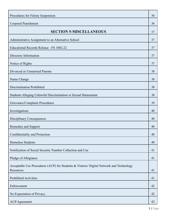| Procedures for Felony Suspension                                                                     | 36 |
|------------------------------------------------------------------------------------------------------|----|
| Corporal Punishment                                                                                  | 36 |
| <b>SECTION 5-MISCELLANEOUS</b>                                                                       | 37 |
| Administrative Assignment to an Alternative School                                                   | 37 |
| Educational Records Release - FS 1002.22                                                             | 37 |
| Directory Information                                                                                | 37 |
| Notice of Rights                                                                                     | 37 |
| Divorced or Unmarried Parents                                                                        | 38 |
| Name Change                                                                                          | 38 |
| <b>Discrimination Prohibited</b>                                                                     | 38 |
| Students Alleging Unlawful Discrimination or Sexual Harassment                                       | 38 |
| Grievance/Complaint Procedures                                                                       | 39 |
| Investigations                                                                                       | 40 |
| <b>Disciplinary Consequences</b>                                                                     | 40 |
| Remedies and Support                                                                                 | 40 |
| Confidentiality and Protection                                                                       | 40 |
| Homeless Students                                                                                    | 40 |
| Notification of Social Security Number Collection and Use                                            | 41 |
| Pledge of Allegiance                                                                                 | 41 |
| Acceptable Use Procedures (AUP) for Students & Visitors/ Digital Network and Technology<br>Resources | 41 |
| <b>Prohibited Activities</b>                                                                         | 41 |
| Enforcement                                                                                          | 42 |
| No Expectation of Privacy                                                                            | 42 |
| <b>AUP</b> Agreement                                                                                 | 42 |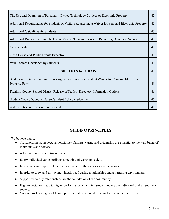| The Use and Operation of Personally Owned Technology Devices or Electronic Property                                 |    |  |  |
|---------------------------------------------------------------------------------------------------------------------|----|--|--|
| Additional Requirements for Students or Visitors Requesting a Waiver for Personal Electronic Property               | 42 |  |  |
| <b>Additional Guidelines for Students</b>                                                                           | 43 |  |  |
| Additional Rules Governing the Use of Video, Photo and/or Audio Recording Devices at School                         | 43 |  |  |
| General Rule                                                                                                        | 43 |  |  |
| Open House and Public Events Exception                                                                              | 43 |  |  |
| Web Content Developed by Students                                                                                   | 43 |  |  |
| <b>SECTION 6-FORMS</b>                                                                                              | 44 |  |  |
| Student Acceptable Use Procedures Agreement Form and Student Waiver for Personal Electronic<br><b>Property Form</b> | 45 |  |  |
| Franklin County School District Release of Student Directory Information Options                                    | 46 |  |  |
| Student Code of Conduct Parent/Student Acknowledgement                                                              | 47 |  |  |
| Authorization of Corporal Punishment                                                                                | 48 |  |  |

# **GUIDING PRINCIPLES**

We believe that...

- Trustworthiness, respect, responsibility, fairness, caring and citizenship are essential to the well-being of individuals and society.
- All individuals have intrinsic value.
- Every individual can contribute something of worth to society.
- Individuals are responsible and accountable for their choices and decisions.
- In order to grow and thrive, individuals need caring relationships and a nurturing environment.
- Supportive family relationships are the foundation of the community.
- High expectations lead to higher performance which, in turn, empowers the individual and strengthens society.
- Continuous learning is a lifelong process that is essential to a productive and enriched life.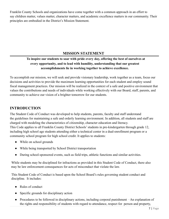Franklin County Schools and organizations have come together with a common approach in an effort to say children matter, values matter, character matters, and academic excellence matters in our community. Their principles are embodied in the District's Mission Statement.

## **MISSION STATEMENT**

## **To inspire our students to soar with pride every day, offering the best of ourselves at every opportunity, and to lead with humility, understanding that our greatest accomplishments lie in working together to achieve excellence.**

To accomplish our mission, we will seek and provide visionary leadership, work together as a team, focus our decisions and activities to provide the maximum learning opportunities for each student and employ sound fiscal management practices. Our mission will be realized in the context of a safe and positive environment that values the contributions and needs of individuals while working effectively with our Board, staff, parents, and community to achieve our vision of a brighter tomorrow for our students.

# **INTRODUCTION**

The Student Code of Conduct was developed to help students, parents, faculty and staff understand the guidelines for maintaining a safe and orderly learning environment. In addition, all students and staff are charged with modeling the characteristics of citizenship, character education and literacy. This Code applies to all Franklin County District Schools' students in pre-kindergarten through grade 12, including high school age students attending either a technical center in a dual-enrollment program or a community school program for high school credit. It applies to students:

- While on school grounds
- While being transported by School District transportation
- During school-sponsored events, such as field trips, athletic functions and similar activities.

While students may be disciplined for infractions as provided in this Student Code of Conduct, there also may be law enforcement consequences for acts of misconduct that violate the law.

This Student Code of Conduct is based upon the School Board's rules governing student conduct and discipline. It includes:

- Rules of conduct
- Specific grounds for disciplinary action
- Procedures to be followed in disciplinary actions, including corporal punishment ∙ An explanation of the rights and responsibility of students with regard to attendance, respect for person and property,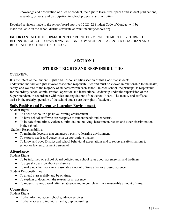knowledge and observation of rules of conduct, the right to learn, free speech and student publications, assembly, privacy, and participation in school programs and activities.

Required revisions made to the school board approved 2021-22 Student Code of Conduct will be made available on the school district's website at franklincountyschools.org

**IMPORTANT NOTE**: INFORMATION REGARDING FORMS WHICH MUST BE RETURNED BEGINS ON PAGE 41. FORMS *MUST* BE SIGNED BY STUDENT, PARENT OR GUARDIAN AND RETURNED TO STUDENT'S SCHOOL.

# **SECTION 1**

# **STUDENT RIGHTS AND RESPONSIBILITIES**

#### OVERVIEW:

It is the intent of the Student Rights and Responsibilities section of this Code that students understand individual rights involve associated responsibilities and must be viewed in relationship to the health, safety, and welfare of the majority of students within each school. In each school, the principal is responsible for the orderly school administration, operation and instructional leadership under the supervision of the Superintendent, in accordance with rules and regulations of the School Board. The faculty and staff shall assist in the orderly operation of the school and assure the rights of students.

## **Safe, Positive and Receptive Learning Environment**

Student Rights

- To attend school in a positive learning environment.
- To have school staff who are receptive to student needs and concerns.
- To be safe from crime, violence, intimidation, bullying, harassment, racism and other discrimination in the school.

Student Responsibilities

- To maintain decorum that enhances a positive learning environment.
- To express needs and concerns in an appropriate manner.
- To know and obey District and school behavioral expectations and to report unsafe situations to school or law enforcement personnel.

## **Attendance**

Student Rights

- To be informed of School Board policies and school rules about absenteeism and tardiness.
- To appeal a decision about an absence.
- To make up class work in a reasonable amount of time after an excused absence.

Student Responsibilities

- To attend classes daily and be on time.
- To explain or document the reason for an absence.
- To request make-up work after an absence and to complete it in a reasonable amount of time.

## **Counseling**

Student Rights

- To be informed about school guidance services.
- To have access to individual and group counseling.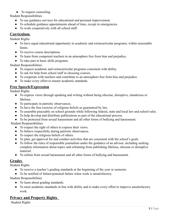#### • To request counseling.

Student Responsibilities

- To use guidance services for educational and personal improvement.
- To schedule guidance appointments ahead of time, except in emergencies.
- To work cooperatively with all school staff.

## **Curriculum**

Student Rights

- To have equal educational opportunity in academic and extracurricular programs, within reasonable limits.
- To receive course descriptions.
- To learn from competent teachers in an atmosphere free from bias and prejudice.
- To take part in basic skills programs.

Student Responsibilities

- To request academic and extracurricular programs consistent with ability.
- To ask for help from school staff in choosing courses.
- To cooperate with teachers and contribute to an atmosphere free from bias and prejudice.
- To make every effort to master academic standards.

#### **Free Speech/Expression**

Student Rights

- To express views through speaking and writing without being obscene, disruptive, slanderous or libelous.
- To participate in patriotic observances.
- To have the free exercise of religious beliefs as guaranteed by law.
- To assemble peaceably on school grounds while following federal, state and local law and school rules.
- To help develop and distribute publications as part of the educational process.
- To be protected from sexual harassment and all other forms of bullying and harassment.

#### Student Responsibilities

- To respect the right of others to express their views.
- To behave respectfully during patriotic observances.
- To respect the religious beliefs of others.
- To plan, get approval for and conduct activities that are consistent with the school's goals.
- To follow the rules of responsible journalism under the guidance of an advisor, including seeking complete information about topics and refraining from publishing libelous, obscene or disruptive material.
- To refrain from sexual harassment and all other forms of bullying and harassment.

## **Grades**

Student Rights

- To receive a teacher's grading standards at the beginning of the year or semester.
- To be notified of failure/potential failure when work is unsatisfactory.

Student Responsibilities

- To learn about grading standards.
- To meet academic standards in line with ability and to make every effort to improve unsatisfactory work.

## **Privacy and Property Rights**

Student Rights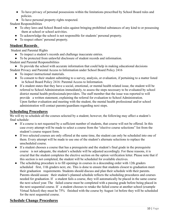- To have privacy of personal possessions within the limitations prescribed by School Board rules and policies.
- To have personal property rights respected.

Student Responsibilities

- To obey laws and School Board rules against bringing prohibited substances of any kind to or possessing them at school or school activities.
- To acknowledge the school is not responsible for students' personal property.
- To respect others' personal property.

## **Student Records**

Student and Parental Rights

- To inspect a student's records and challenge inaccurate entries.
- To be protected from unlawful disclosure of student records and information.

Student and Parental Responsibilities

- To provide the school with accurate information that could help in making educational decisions Student Privacy and Parental Access to Information under School Board Policy 2416
	- To inspect instructional materials.
	- To consent to their student submitting to a survey, analysis, or evaluation, if pertaining to a matter listed in School Board Policy 2416: Parental Access to Information.
	- If a student states that they have a social, emotional, or mental health related issue, the student will be referred to School Administration immediately, to assess the steps necessary to be evaluated by school district mental health professionals/providers. The staff member that the issue was reported to will provide a written statement, explaining the referral for evaluation to School Administration. Upon further evaluation and meeting with the student, the mental health professional and/or school administration will contact parents/guardians regarding next steps.

## **Scheduling Procedures**

We will try to schedule all the courses selected by a student; however, the following may affect a student's final schedule:

- If a course is not requested by a sufficient number of students, that course will not be offered. In this case every attempt will be made to select a course from the "elective course selections" list from the student's course request form.
- If two selected courses are only offered at the same time, the student can only be scheduled into one of them. Every attempt will be made to use one of the student's alternate selections to replace the unscheduled course.
- If a student chooses a course that has a prerequisite and the student's final grade in the prerequisite course is not adequate, the student's schedule will be adjusted accordingly. For these reasons, it is crucial that the student completes the elective section on the option verification letter. Please note that if this section is not completed, the student will be scheduled for available electives.
- The scheduling procedure is to fill openings in courses in a descending order with 12th graders scheduled first, 11th graders next, etc. This is done to ensure that students closest to graduation meet their graduation requirements. Students should discuss and plan their schedule with their parents. Parents should assure their student's planned schedule reflects the scheduling procedures and courses needed for graduation. If a student fails a course, they will automatically be placed in the same course the next school year. The failed course must be completed with a passing grade before being placed in the next sequential course. If a student chooses to retake the failed course at another school (example Virtual School) they must be 75% finished with the course by August 1st before they will be scheduled for the next sequential course.

# **Schedule Change Procedures**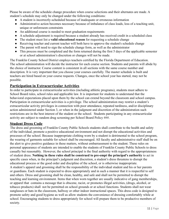Please be aware of the schedule change procedure when course selections and their alternates are made. A student's schedule may only be changed under the following conditions:

- A student is incorrectly-scheduled because of inadequate or erroneous information
- Administrative action becomes necessary because of imbalance of class loads, loss of a teaching unit, unique or unforeseen constraints
- An additional course is needed to meet graduation requirements
- A schedule adjustment is required because a student already has received credit in a scheduled class
- The student must list a **valid educational reason** for requesting a schedule change
- Receiving teacher and current teacher will both have to approve the student's schedule change
- The parent will need to sign the schedule change form, as well as the administrator
- This process must be completed and the form returned during the first 5 days of the applicable semester or at school administration's discretion or changes will not be made.

The Franklin County School District employs teachers certified by the Florida Department of Education. The school administration will decide the instructor for each course section. Students and parents will abide by the choice of instructor. Course content is consistent in all sections with the same course number and description. It is very important that you choose your courses carefully. The master schedule is built and teachers are hired based on your course requests. Changes, once the school year has started, may not be possible.

## **Participation in Extracurricular Activities**

In order to participate in extracurricular activities (including athletic programs), students must adhere to School Board rules, school rules and applicable law. It is important for students to understand that the behavioral expectations placed upon them by the school can extend beyond the classroom and school campus. Participation in extracurricular activities is a privilege. The school administration may restrict a student's extracurricular activity privileges in connection with poor attendance, repeated tardiness, and/or disciplinary action administered under Section 3, or when in the judgment and discretion of the administration such restrictions are in the best interest of the student or the school. Students participating in any extracurricular activity are subject to random drug screening per School Board Policy ###.

## **Student Dress Code**

The dress and grooming of Franklin County Public Schools students shall contribute to the health and safety of the individual, promote a positive educational environment and not disrupt the educational activities and processes of the school. Because inappropriate clothing worn by a student is detrimental to the school program, the wearing of garments suitable for school shall be encouraged. All faculty and administrative staff shall be on the alert to give positive guidance in these matters, without embarrassment to the student. These rules on personal appearance of students are intended to enable the students of Franklin County Public Schools to dress casually but reasonably. However, the school principal is the final authority with regard to the appropriateness of student dress. **Nothing in these rules shall be construed to pre-empt the principal's authority** to act in specific cases when, in the principal's judgment and discretion, a student's dress threatens to disrupt the educational process or the good order and discipline of the school, or is otherwise inappropriate. A student's apparel and grooming shall be the responsibility of the individual student and his or her parents or guardians. Each student is expected to dress appropriately and in such a manner that it is respectful to self and others. Dress and grooming shall be clean, healthy, and safe and shall not be permitted to disrupt the teaching and learning environment. Items that when worn together are usually indicative of gang memberships, or apparel that contains a message that is obscene, racist, or promotes illegal activities, (drugs, alcohol, or tobacco products) shall not be permitted on school grounds or at school functions. Students shall not wear sunglasses or hats in the classroom, hallway or other indoor instructional spaces. This dress code is designed to promote safety and good hygiene as well as allow students the convenience of dressing comfortably while at school. Encouraging students to dress appropriately for school will prepare them to be productive members of society.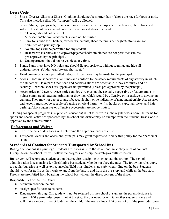# **Dress Code**

- 1. Skirts, Dresses, Skorts or Shorts: Clothing should not be shorter than 4"above the knee for boys or girls. This also includes slits. No "rompers" will be allowed.
- 2. Shirts: Shirts, tops, jackets, dresses or blouses should cover all aspects of the bosom, chest, back and sides. This should also include when arms are raised above the head.
	- a. Cleavage should not be visible.
	- b. Mid-section/abdominal/stomach should not be visible.
	- c. Tank tops, tube tops, halters, razorbacks, cutouts, sheer materials or spaghetti straps are not permitted as a primary top.
	- d. No tank tops will be permitted for any student.
	- e. Beachwear, Blankets and sleepwear/pajamas/bedroom clothes are not permitted (unless pre-approved by the principal).
	- f. Undergarments should not be visible at any time.
- 3. Pants: Pants must have NO holes and should fit appropriately, without sagging, and hide all undergarments. (Underwear, boxers, shorts, etc.)
- 4. Head coverings are not permitted indoors. Exceptions may be made by the principal.
- 5. Shoes: Shoes must be worn at all times and conform to the safety requirements of any activity in which the student will take part. Open-toed and backless slides are acceptable if they are sturdy and fit securely. Bedroom shoes or slippers are not permitted (unless pre-approved by the principal).
- 6. Accessories and Jewelry: Accessories and jewelry must not be sexually suggestive or feature crude or vulgar commercial lettering, printing, or drawings which would be offensive or insensitive to anyone on campus. They may not depict drugs, tobacco, alcohol, or be indicative of gang membership. Accessories and jewelry must not be capable of causing physical harm (i.e. fish hooks on caps, hair picks, and hair curlers). Also, suggestive or offensive accessories are not permitted.

Clothing for special programs (i.e. physical education) is not to be worn in the regular classroom. Uniforms for sports and special activities sponsored by the school and district may be exempt from the Student Dress Code if approved by the administration.

## **Enforcement and Waiver**

- The principals or designees will determine the appropriateness of attire.
- For special events and occasions, principals may grant requests to modify this policy for their particular school.

# **Standards of Conduct for Students Transported by School Bus**

Riding a school bus is a privilege. Students are responsible to the driver and must obey rules of conduct. Discipline on the school bus will follow the progressive discipline strategies outlined below.

Bus drivers will report any student action that requires discipline to school administration. The school administration is responsible for disciplining bus students who do not obey the rules. The following rules apply to regular bus trips as well as extracurricular/field trips. Students are safe when riding on the bus. Students should watch for traffic as they walk to and from the bus, to and from the bus stop, and while at the bus stop. Parents are prohibited from boarding the school bus without the direct consent of the driver.

Responsibilities of the Bus Driver

- Maintain order on the bus.
- Assign specific seats to students
- Kindergarten through 2nd grade will not be released off the school bus unless the parent/designee is present. If the parent/designee is not at the stop, the bus operator will take other students home and will make a second attempt to deliver the child, if the route allows. If it does not or if the parent/designee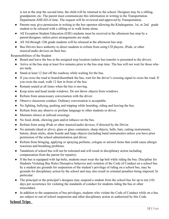is not at the stop the second time, the child will be returned to the school. Designee may be a sibling, grandparent, etc. The parent must communicate this information in writing to the Transportation Department AHEAD of time. The request will be reviewed and approved by Transportation.

- Parents may give permission in writing to the bus operator allowing the Kindergarten, 1st, or 2nd grade student to be released with a sibling or to walk home alone.
- All Exception Student Education (ESE) students must be received at the afternoon bus stop by a parent/designee; unless prior arrangements are made.
- All 3rd through 12th grade students will be released at the afternoon bus stop.
- Bus Drivers have authority to direct students to refrain from using CD players, iPods, or other musical/audio devices on their bus.

Responsibilities of the Student

- Board and leave the bus at the assigned stop location (unless bus transfer is presented to the driver).
- Arrive at the bus stop at least five minutes prior to the bus stop time. The bus will not wait for those who are tardy.
- Stand at least 12 feet off the roadway while waiting for the bus.
- If you cross the road to board/disembark the bus, wait for the driver's crossing signal to cross the road. If you cross the road, walk 12 feet in front of the bus.
- Remain seated at all times when the bus is moving.
- Keep arms and head inside windows. Do not throw objects from windows.
- Refrain from unnecessary conversation with the driver.
- Observe classroom conduct. Ordinary conversation is acceptable.
- No fighting, bullying, pushing and tripping while boarding, riding and leaving the bus.
- Refrain from any abusive or profane language to other students or driver.
- Maintain silence at railroad crossings.
- No food, drink, chewing gum and/or tobacco on the bus.
- Refrain from using iPods or other musical/audio devices, if directed by the Driver.
- No animals (dead or alive), glass or glass containers, sharp objects, balls, bats, cutting instruments, batons, drum sticks, skate boards and large objects (including band instruments) unless you have prior permission of the school administration and driver.
- Refrain from bringing, applying or spraying perfume, cologne or aerosol items that could cause allergic reactions and breathing problems.
- Vandalism of school bus will not be tolerated and will result in disciplinary action including compensation from the parent for repair(s)
- If the bus is equipped with lap belts, students must wear the lap belt while riding the bus. Discipline for Students Violating Bus Rules Disruptive behavior and violation of the Code of Conduct on a school bus by a student are grounds for suspension of the student's privilege of riding on a school bus, may be grounds for disciplinary action by the school and may also result in criminal penalties being imposed. In particular:
- $\bullet$  The principal or the principal's designee may suspend a student from the school bus for up to ten (10) days per occurrence for violating the standards of conduct for students riding the bus or other misconduct.
- In addition to the suspension of bus privileges, students who violate the Code of Conduct while on a bus are subject to out-of-school suspension and other disciplinary action as authorized by this Code.

# **School Trips**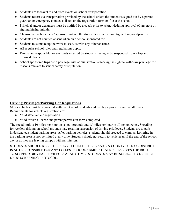- Students are to travel to and from events on school transportation
- Students return via transportation provided by the school unless the student is signed out by a parent, guardian or emergency contact as listed on the registration form on file at the school.
- Principal and/or designees must be notified by a coach prior to acknowledging approval of any note by signing his/her initials.
- Classroom teacher/coach / sponsor must see the student leave with parent/guardian/grandparents
- Students are not counted absent when on a school sponsored trip.
- Students must make up the work missed, as with any other absence.
- All regular school rules and regulations apply.
- Parents are responsible for any costs incurred by students having to be suspended from a trip and returned home.
- School sponsored trips are a privilege with administration reserving the right to withdraw privilege for reasons relevant to school safety or reputation.

## **Driving Privileges/Parking Lot Regulations**

Motor vehicles must be registered with the Dean of Students and display a proper permit at all times. Requirements for vehicle registration are:

- Valid state vehicle registration
- Valid driver's license and parent permission form completed

The speed limit is 10 miles per hour on school grounds and 15 miles per hour in all school zones. Speeding for reckless driving on school grounds may result in suspension of driving privileges. Students are to park in designated student parking areas. After parking vehicles, students should proceed to campus. Loitering in the parking areas is not permitted at any time. Students should not return to vehicles until the end of the school day or as they are leaving campus with permission.

STUDENTS SHOULD KEEP THEIR CARS LOCKED. THE FRANKLIN COUNTY SCHOOL DISTRICT IS NOT RESPONSIBLE FOR ANY LOSSES. SCHOOL ADMINISTRATION RESERVES THE RIGHT TO SUSPEND DRIVING PRIVILEGES AT ANY TIME. STUDENTS MAY BE SUBJECT TO DISTRICT DRUG SCREENING PROTOCOL.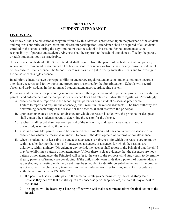## **SECTION 2 STUDENT ATTENDANCE**

## **OVERVIEW**

SB Policy 5200- The educational program offered by this District is predicated upon the presence of the student and requires continuity of instruction and classroom participation. Attendance shall be required of all students enrolled in the schools during the days and hours that the school is in session. School attendance is the responsibility of parents and students. Absences shall be reported to the school attendance office by the parent or adult student as soon as practicable.

In accordance with statute, the Superintendent shall require, from the parent of each student of compulsory school age or from an adult student who has been absent from school or from class for any reason, a statement of the cause for such absence. The School Board reserves the right to verify such statements and to investigate the cause of each single absence.

In addition, educators have the responsibility to encourage regular attendance of students, maintain accurate attendance records, and follow reporting procedures prescribed by the Superintendent. Schools will record absent and tardy students in the automated student attendance recordkeeping system.

Provision shall be made for promoting school attendance through adjustment of personal problems, education of parents, and enforcement of the compulsory attendance laws and related child-welfare legislation. Accordingly:

- A. absences must be reported to the school by the parent or adult student as soon as practicable; Failure to report and explain the absence(s) shall result in unexcused absence(s). The final authority for determining acceptability of the reason for the absence(s) shall rest with the principal.
- B. upon each unexcused absence, or absence for which the reason is unknown, the principal or designee shall contact the student's parent to determine the reason for the absence;
- C. teachers shall record absentees each period of the school day and report absences, excused and unexcused, as required by the school;
- D. insofar as possible, parents should be contacted each time their child has an unexcused absence or an absence for which the reason is unknown, to prevent the development of patterns of nonattendance;
- E. when a student has at least five (5) unexcused absences or absences for which the reasons are unknown, within a calendar month, or ten (10) unexcused absences, or absences for which the reasons are unknown, within a ninety (90) calendar day period, the teacher shall report to the Principal that the child may be exhibiting a pattern of nonattendance. Unless there is clear evidence that the absences are not a pattern of nonattendance, the Principal will refer to the case to the school's child study team to determine if early patterns of truancy are developing. If the child study team finds that a pattern of nonattendance is developing, a meeting with the parent must be scheduled to identify potential remedies. If the problem is not resolved, the child study team will implement interventions set forth in, and act in accordance with, the requirements in F.S. 1003.26.
	- 1. If a parent refuses to participate in the remedial strategies determined by the child study team because they believe that the strategies are unnecessary or inappropriate, the parent may appeal to the Board.
	- 2. The appeal will be heard by a hearing officer who will make recommendations for final action to the Board.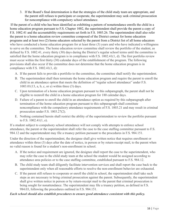3. If the Board's final determination is that the strategies of the child study team are appropriate, and the parent still refuses to participate or cooperate, the superintendent may seek criminal prosecution for noncompliance with compulsory school attendance.

If the parent of a child who has been identified as exhibiting a pattern of nonattendance enrolls the child in a home education program pursuant to F.S. Chapter 1002, the superintendent shall provide the parent a copy of F.S. 1002.41 and the accountability requirements set forth in F.S. 1003.26. The superintendent shall also refer the parent to a home education review committee composed of the District contact for home education programs and at least two (2) home educators selected by the parent from a District list of all home educators who have conducted a home education program for at least three (3) years and who have indicated a willingness to serve on the committee. The home education review committee shall review the portfolio of the student, as defined by F.S. 1002.41, every thirty (30) days during the District's regular school terms until the committee is satisfied that the home education program is in compliance with F.S. 1002.41(1, d). The first portfolio review must occur within the first thirty (30) calendar days of the establishment of the program. The following provisions shall also occur if the committee does not determine that the home education program is in compliance with F.S.  $1002.41(1, d)$ :

- A. If the parent fails to provide a portfolio to the committee, the committee shall notify the superintendent.
- B. The superintendent shall then terminate the home education program and require the parent to enroll the child in an attendance option that meets the definition of "regular school attendance" under F.S. 1003.01(13, a, b, c, or e) within three (3) days.
- C. Upon termination of a home education program pursuant to this subparagraph, the parent shall not be eligible to reenroll the child in a home education program for 180 calendar days.
- D. Failure of a parent to enroll the child in an attendance option as required by this subparagraph after termination of the home education program pursuant to this subparagraph shall constitute noncompliance with the compulsory attendance requirements of F.S. 1003.21 and may result in criminal prosecution under F.S. 1003.27(2).
- E. Nothing contained herein shall restrict the ability of the superintendent to review the portfolio pursuant to F.S. 1002.41(1, e).

If a student subject to compulsory school attendance will not comply with attempts to enforce school attendance, the parent or the superintendent shall refer the case to the case staffing committee pursuant to F.S. 984.12 and the superintendent may file a truancy petition pursuant to the procedures in F.S. 984.151.

Under the direction of the superintendent, the designee shall give written notice that requires enrollment or attendance within three (3) days after the date of notice, in person or by return-receipt mail, to the parent when no valid reason is found for a student's non-enrollment in school.

- A. If the notice and requirement are ignored, the designee shall report the case to the superintendent, who may refer the case to the child study team at the school the student would be assigned according to attendance area policies or to the case staffing committee, established pursuant to F.S. 984.12.
- B. The child study team shall diligently facilitate intervention services and shall report the case back to the superintendent only when all reasonable efforts to resolve the non-enrollment behavior are exhausted.
- C. If the parent still refuses to cooperate or enroll the child in school, the superintendent shall take such steps as are necessary to bring criminal prosecution against the parent. Subsequently, the superintendent shall give written notice in person or by return-receipt mail to the parent that criminal prosecution is being sought for nonattendance. The superintendent may file a truancy petition, as defined in F.S. 984.03, following the procedures outlined in F.S. 984.151.

*Each school should also establish procedures to ensure good attendance consistent with this policy.*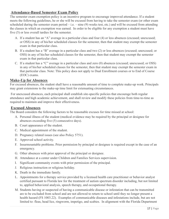## **Attendance-Based Semester Exam Policy**

The semester exam exemption policy is an incentive program to encourage improved attendance. If a student meets the following guidelines, he or she will be excused from having to take the semester exam (or other exam scheduled during the semester exam period  $-i.e.$  – nine (9) weeks test, etc.) and will be excused from attending the classes in which an exemption was earned. In order to be eligible for any exemption a student must have five (5) or less overall tardies for the semester.

- A. If a student has an "A" average in a particular class and four (4) or less absences (excused; unexcused; or OSS) in any of his/her scheduled classes for the semester, then that student may exempt the semester exam in that particular class.
- B. If a student has a "B" average in a particular class and two (2) or less absences (excused; unexcused; or OSS) in any of his/her scheduled classes for the semester, then that student may exempt the semester exam in that particular class.
- C. If a student has a "C" average in a particular class and zero (0) absences (excused; unexcused; or OSS) in any of his/her scheduled classes for the semester, then that student may exempt the semester exam in that particular class. Note: This policy does not apply to Dual Enrollment courses or to End of Course (EOC) exams.

## **Make-Up for Absences**

For excused absences, the student shall have a reasonable amount of time to complete make-up work. Principals may grant extensions to the make-up time limit for extenuating circumstances.

For unexcused absences, each principal shall establish site-specific policies that encourage both regular attendance and high academic achievement, and shall review and modify these policies from time-to-time as required to maintain and improve their effectiveness.

## **Excused Absences**

The Board considers the following factors to be reasonable excuses for time missed at school:

- A. Personal illness of the student (medical evidence may be required by the principal or designee for absences exceeding five (5) consecutive days).
- B. Court appearance of the student.
- C. Medical appointment of the student.
- D. Pregnancy related issues (see also Policy 5751).
- E. Approved school activity.
- F. Insurmountable problems. Prior permission by principal or designee is required except in the case of an emergency.
- G. Other absences with prior approval of the principal or designee.
- H. Attendance at a center under Children and Families Services supervision.
- I. Significant community events with prior permission of the principal.
- J. Religious instruction or religious holiday.
- K. Death in the immediate family.
- L. Appointments for a therapy service provided by a licensed health care practitioner or behavior analyst certified pursuant to Florida law for the treatment of autism spectrum disorder including, but not limited to, applied behavioral analysis, speech therapy, and occupational therapy.
- M. Students having or suspected of having a communicable disease or infestation that can be transmitted are to be excluded from school and are not allowed to return to school until they no longer present a health hazard (FS 1003.22). Examples of communicable diseases and infestations include, but are not limited to: fleas, head lice, ringworm, impetigo, and scabies. In alignment with the Florida Department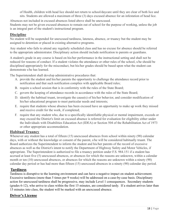of Health, children with head lice should not return to school/daycare until they are clear of both lice and nits. Students are allowed a maximum of three (3) days excused absence for an infestation of head lice.

Absences not included in excused absences listed above shall be unexcused.

Students may not be given excused absences to remain out of school for the purpose of working, unless the job is an integral part of the student's instructional program.

## **Discipline**

No student will be suspended for unexcused tardiness, lateness, absence, or truancy but the student may be assigned to detention or placed in existing alternative programs.

Any student who fails to attend any regularly scheduled class and has no excuse for absence should be referred to the appropriate administrator. Disciplinary action should include notification to parents or guardians.

A student's grade in any course is based on his/her performance in the instructional setting and shall not be reduced for reasons of conduct. If a student violates the attendance or other rules of the school, s/he should be disciplined appropriately for the misconduct, but his/her grades should be based upon what the student can demonstrate s/he has learned.

The Superintendent shall develop administrative procedures that:

- A. provide the student and his/her parents the opportunity to challenge the attendance record prior to notification and that such notification complies with applicable Board rules;
- B. require a school session that is in conformity with the rules of the State Board;
- C. govern the keeping of attendance records in accordance with the rules of the State Board;
- D. identify the habitual truant, investigate the cause(s) of his/her behavior, and consider modification of his/her educational program to meet particular needs and interests;
- E. require that students whose absence has been excused have an opportunity to make up work they missed and receive credit for the work, if completed;
- F. require that any student who, due to a specifically identifiable physical or mental impairment, exceeds or may exceed the District's limit on excused absence is referred for evaluation for eligibility either under the Individuals with Disabilities Education Act (IDEA) or Section 504 of the Rehabilitation Act of 1973 or other appropriate accommodation.

## **Habitual Truancy**

Whenever any student has a total of fifteen (15) unexcused absences from school within ninety (90) calendar days, with or without the knowledge or consent of the parent, s/he will be considered habitually truant. The Board authorizes the Superintendent to inform the student and his/her parents of the record of excessive absences as well as the District's intent to notify the Department of Highway Safety and Motor Vehicles, if appropriate. The Superintendent is authorized to file a truancy petition under F.S. 984.151 if a student has accrued at least five (5) unexcused absences, or absences for which the reasons are unknown, within a calendar month or ten (10) unexcused absences, or absences for which the reasons are unknown within a ninety (90) calendar day period or has had more than fifteen (15) unexcused absences in a ninety (90) calendar day period.

## **Tardiness**

Tardiness is disruptive to the learning environment and can have a negative impact on student achievement. Excessive tardiness (more than 5 times per 9 weeks) will be addressed on a case-by-case basis. Disciplinary action for unexcused tardiness shall be progressive, may include Level 1 consequences. Secondary students (grades 6-12), who arrive to class within the first 15 minutes, are considered tardy. If a student arrives later than 15 minutes into class, the student will be marked with an unexcused absence.

## **Driver's License**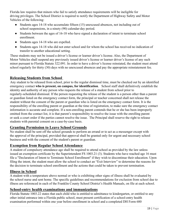Florida law requires that minors who fail to satisfy attendance requirements will be ineligible for driving privileges. The School District is required to notify the Department of Highway Safety and Motor Vehicles of the following:

- Students ages 14-18 who accumulate fifteen (15) unexcused absences, not including out of school suspensions, in a ninety (90) calendar-day period.
- Students between the ages of 16-18 who have signed a declaration of intent to terminate school enrollment.
- Students ages 14-18 who are expelled.
- Students ages 14-18 who did not enter school and for whom the school has received no indication of transfer to another educational setting.

These students may not be issued a driver's license or learner driver's license. Also, the Department of Motor Vehicles shall suspend any previously issued driver's license or learner driver's license of any such minor pursuant to Florida Statute 322.091. In order to have a driver's license reinstated, the student must attend school regularly for thirty (30) days with no unexcused absences and pay the appropriate reinstatement fee.

## **Releasing Students from School**

Any student to be released from school, prior to the regular dismissal time, must be checked out by an identified emergency contact **who is present, on campus, for identification**. School staff shall definitively establish the identity and authority of any person who requests the release of a student from school prior to regularly-scheduled dismissal. If the person requesting the release of the student is a person other than a parent or guardian listed on the emergency contact form, the principal or teacher concerned shall not release the student without the consent of the parent or guardian who is listed on the emergency contact form. It is the responsibility of the enrolling parent or guardian at the time of registration, to make sure the emergency contact information is accurate and complete. If a non-enrolling parent contends that he or she has been improperly omitted from the contact list, it is that parent's responsibility to resolve the issue with the enrolling parent or seek a court order if the parties cannot resolve the issue. The Principal shall reserve the right to release students with parental consent on a case-by-case basis.

## **Granting Permission to Leave School Grounds**

No student shall be sent off the school grounds to perform an errand or to act as a messenger except with the approval of the principal, provided that approval shall be granted only for urgent and necessary school business and with the consent of the student's parent or guardian.

## **Exemption from Regular School Attendance**

A student of compulsory attendance age shall be required to attend school as provided by the law unless issued an exemption certificate by the Superintendent FS 1003.21 (3). Students who have reached age 16 must file a "Declaration of Intent to Terminate School Enrollment" if they wish to discontinue their education. Upon filing the intent, the student must allow the school to conduct an "Exit Interview" to determine the reasons for the decision to terminate school enrollment and the actions that could be taken to prevent termination.

## **Illness in School**

A student with a temperature above normal or who is exhibiting other signs of illness shall be evaluated by the school nurse and sent home. The specific guidelines and recommendations for exclusion from school due to illness are referenced in each of the Franklin County School District's Health Manuals, on file at each school.

## **School-entry health examinations and immunizations**

Florida Statute 1003.22 states that each child who is entitled to admittance to kindergarten, or entitled to any other initial entrance into a Florida public school, must present certification of a school-entry health examination performed within one year before enrollment in school and a completed DH Form 680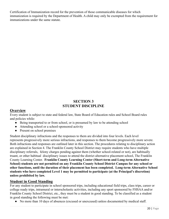Certification of Immunization record for the prevention of those communicable diseases for which immunization is required by the Department of Health. A child may only be exempted from the requirement for immunizations under the same statute.

# **SECTION 3 STUDENT DISCIPLINE**

#### **Overview**

Every student is subject to state and federal law, State Board of Education rules and School Board rules and policies while:

- Being transported to or from school, or is presumed by law to be attending school
- Attending school or a school-sponsored activity
- Present on school premises

Student disciplinary infractions and the responses to them are divided into four levels. Each level represents progressively more serious infractions, and responses to them become progressively more severe. Both infractions and responses are outlined later in this section. The procedures relating to disciplinary action are explained in Section 4. The Franklin County School District may require students who have multiple disciplinary referrals, felony charges pending against them (whether school-related or not), are habitually truant, or other habitual disciplinary issues to attend the district alternative placement school, The Franklin County Learning Center. **Franklin County Learning Center (Short-term and Long-term Alternative School) students are not permitted on any Franklin County School District Campus for any school or other functions, until the duration of their placement has been completed. Long-term Alternative School students who have completed Level 1 may be permitted to participate (at the Principal's discretion) unless prohibited by law.**

## **Student in Good Standing**

For any student to participate in school sponsored trips, including educational field trips, class trips, career or college ready trips, intramural or interscholastic activities, including any sport sponsored by FHSAA and/or Franklin County School District, etc., they must be a student in good standing. To be classified as a student in good standing the following must be met:

● No more than 10 days of absences (excused or unexcused) unless documented by medical staff.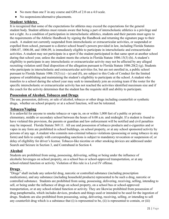- No more than one F in any course and GPA of 2.0 on a 4.0 scale.
- No suspensions/alternative placements.

## **Student Athletes**

It is recognized that some of the expectations for athletes may exceed the expectations for the general student body. Student athletes must remain aware that being a part of interscholastic athletics is a privilege and not a right. As a condition of participation in interscholastic athletics, students and their parents must agree to the requirements of the Athletic Handbook by signing the Handbook and returning the signature page to their coach. A student not currently suspended from interscholastic or extracurricular activities, or suspended or expelled from school, pursuant to a district school board's powers provided in law, including Florida Statutes 1006.07, 1006.08, and 1006.09, is immediately eligible to participate in interscholastic and extracurricular activities. A student may not participate in a sport if the student participated in that same sport at another school during that school year, unless the student meets the criteria in Florida Statute 1006.15(3) (h). A student's eligibility to participate in any interscholastic or extracurricular activity may not be affected by any alleged recruiting violation until final disposition of the allegation pursuant to Florida Statute 1006.20(2) (g). Students who participate in interscholastic and extracurricular activities for, but are not enrolled in, a public school pursuant to Florida Statute 1006.15(3) (c) - (e) and (8), are subject to this Code of Conduct for the limited purpose of establishing and maintaining the student's eligibility to participate at the school. A student who transfers to a school during the school year may seek to immediately join an existing team if the roster for the specific interscholastic or extracurricular activity has not reached the activities identified maximum size and if the coach for the activity determines that the student has the requisite skill and ability to participate.

## **Possession of Alcohol, Tobacco and Drugs**

The use, possession, delivery, or sale of alcohol, tobacco or other drugs including counterfeit or synthetic drugs, whether on school property or at a school function, will not be tolerated.

## **Tobacco/Vaping**

It is unlawful for anyone to smoke tobacco or vape in, on or within 1,000 feet of a public or private elementary, middle or secondary school between the hours of 6:00 a.m. and midnight. If a student is found to have violated this provision, the parents or guardian and law enforcement will be notified and civil penalties may be imposed. Florida Statute 569.11. All use and possession of tobacco products and e-cigarettes and or vapes in any form are prohibited in school buildings, on school property, or at any school sponsored activity by persons of any age. A student who commits non-criminal tobacco violations (possessing or using tobacco in any form) and fails to comply with corresponding sanctions is subject to mandatory revocation or suspension of, or delay of eligibility for driver's license. Tobacco-like nicotine or other smoking devices are addressed under Search and Seizure in Section 3, and Contraband in Section 4.

# **Alcohol**

Students are prohibited from using, possessing, delivering, selling or being under the influence of alcoholic beverages on school property, on a school bus or school-approved transportation, or at any school-related function or activity. Violation of this rule is a Level IV offense.

## **Drugs**

"Drugs" shall include any unlawful drug, narcotic or controlled substance (including prescription medications), and any substance (including household products) represented to be such a drug, narcotic or controlled substance. Students are prohibited from using, possessing, delivering, receiving, selling, intending to sell, or being under the influence of drugs on school property, on a school bus or school-approved transportation, or at any school-related function or activity. They are likewise prohibited from possession of drug paraphernalia, which includes devices, products and things used or intended to be used for the ingestion of drugs. Students are also prohibited from possessing, using, delivering, receiving, selling, or intending to sell any counterfeit drug which is a substance that (i) is represented to be, (ii) is represented to contain, or (iii)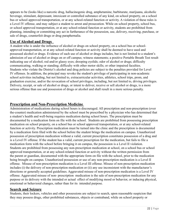appears to be (looks like) a narcotic drug, hallucinogenic drug, amphetamine, barbiturate, marijuana, alcoholic beverage, stimulant, depressant, intoxicant or controlled substance of any kind, on school property, on a school bus or school approved transportation, or at any school-related function or activity. A violation of these rules is a Level IV offense, and may subject a student to arrest and prosecution. While on school property, school bus, or school approved transportation, or at any school-related function or activity, students are prohibited from planning, intending or committing any act in furtherance of the possession, use, delivery, receiving, purchase, or sale of drugs, counterfeit drugs or drug paraphernalia.

## **Use of Alcohol and Drugs**

A student who is under the influence of alcohol or drugs on school property, on a school bus or schoolapproved transportation, or at any school-related function or activity shall be deemed to have used and possessed alcohol or drugs. Evidence of such use of alcohol or drugs includes, but is not limited to a student's admission of use of alcohol or drugs on or off campus; witness statements; a positive Portable Breath Test result indicating use of alcohol; red and/or glassy eyes; drooping eyelids; odor of alcohol or drugs; difficulty communicating, walking or standing; difficulty with other motor skills; or other impaired faculties. Students who violate the District's alcohol and drug policies are subject to the penalties provided for Level IV offenses. In addition, the principal may revoke the student's privilege of participating in non-academic school activities including, but not limited to, extracurricular activities, athletics, school trips, prom, and graduation exercise, and/or the revocation of school privileges, including, but not limited to, driving privileges. Delivery, receipt, or sale of alcohol or drugs, or intent to deliver, receive or sell alcohol or drugs, is a more serious offense than use and possession of drugs or alcohol and shall result in a more serious penalty.

## **Prescription and Non-Prescription Medicine**

Administration of medications during school hours is discouraged. All prescription and non-prescription (over the-counter) medication administered by the school must be prescribed by a physician who has determined that a student's health and well-being requires medication during school hours. The prescription must be documented by a medication form on file with the school. Students are prohibited from possessing prescription medication on school property, on a school bus or school approved transportation, or at any school-related function or activity. Prescription medication must be turned into the clinic and the prescription is documented by a medication form filed with the school before the student brings the medication on campus. Unauthorized possession of prescription medication without a valid, current prescription constitutes possession of a drug and is a Level IV offense. If the student has a valid, current prescription for the medication, but fails to file a medication form with the school before bringing it on campus, the possession is a Level II violation. Students are prohibited from possessing any non-prescription medication at school, on a school bus or school approved transportation, or at any school-related function or activity without the written permission from the parent or guardian, documented with the appropriate form on file with the school, prior to the medication being brought on campus. Unauthorized possession or use of any non-prescription medication is a Level II offense. Misuse of non-prescription medication is a Level III offense. Misuse of non-prescription medication includes (i) the delivery of non-prescription medication or (ii) any use inconsistent with the manufacturer's directions or generally accepted guidelines. Aggravated misuse of non-prescription medication is a Level IV offense. Aggravated misuse of non- prescription medication is the sale of non-prescription medication for any purpose or its delivery with the intended or actual effect of modifying mood or behavior, or inducing physical, emotional or behavioral changes, rather than for its intended purpose.

#### **Search and Seizure**

Students, their lockers, vehicles and other possessions are subject to search, upon reasonable suspicion that they may possess drugs, other prohibited substances, objects or contraband, while on school property or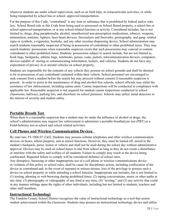wherever students are under school supervision, such as on field trips, at extracurricular activities, or while being transported by school bus or school- approved transportation.

For the purpose of this Code, "contraband" is any item or substance that is prohibited by federal and/or state law, School Board rule or this Code from being used or possessed on School Board property, a school bus or school approved transportation, or at any school-related function or activity. Contraband includes, but is not limited to, drugs, drug paraphernalia, alcohol, unauthorized non-prescription medications, tobacco, weapons, ammunition, matches, lighters, laser beam devices, firecrackers and fireworks, pornography, and gang- related signs or symbols, e-cigarettes, hookahs, and any other nicotine-dispensing device. School administration may search students reasonably suspected of being in possession of contraband or other prohibited items. They may search students' possessions when reasonable suspicion exists that such possessions may conceal or contain contraband or other prohibited items. Students' possessions subject to search include, but are not limited to, book bags, backpacks, athletic bags, notebooks, purses, coats, jackets, telecommunication devices, computers, devices capable of storing or communicating information, lockers, and vehicles. Students do not have any expectation of privacy in or around vehicles on school property.

Students are responsible for the contents of any vehicle they possess on school grounds and shall be deemed to be in possession of any contraband contained within their vehicle. School personnel are encouraged to seek consent from a student before the search but may proceed without consent if reasonable suspicion is present. In order to assist in the maintenance of drug and alcohol-free schools, school officials may enlist the assistance of law enforcement, including canine units. Canine inspections will be conducted in compliance with applicable law. Reasonable suspicion is not required for random canine inspections conducted in school classrooms, hallways, parking lots, and elsewhere on school premises. Schools may utilize metal detectors in the interest of security and student safety.

## **Portable Breath Test**

When there is a reasonable suspicion that a student may be under the influence of alcohol or drugs, the school's administration may request law enforcement to administer a portable breathalyzer test (PBT) or a Field-Sobriety test at school and school related activities.

## **Cell Phones and Wireless Communication Devices**

By state law, FS 1006.07 (2)(f), Students may possess cellular telephones and other wireless communication devices on buses, school property, and at school functions. However, they must be turned off, stored in the student's backpack, purse, locker or vehicle and shall not be used during the school day without administrative approval. Devices may be used on school buses to and from school as long as they do not create a disturbance or interfere with the safety and welfare of all students. Failure to comply may result in the device being confiscated. Repeated failure to comply will be considered defiance of school rules.

Any disruptive, harassing or other inappropriate use of a cell phone or wireless communications device in violation of this policy or school rules, shall be cause for disciplinary action, including confiscation of the device as contraband and, in the event of repeated or serious misuse, loss of the privilege to possess such a device on school property or while attending a school function. Inappropriate use includes, but is not limited to: (1) texting, phoning or web browsing during prohibited times; (2) taping conversations, music or other audio at any time; (3) photography or videography of any kind at any time; (4) "sexting;" and (5) any activity that could in any manner infringe upon the rights of other individuals, including but not limited to students, teachers and other staff members.

## **Instructional Technology**

The Franklin County School District recognizes the value of instructional technology as a tool that assists student achievement within the classroom. Students may possess an instructional technology device and utilize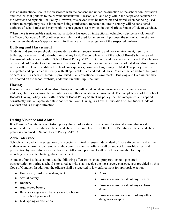it as an instructional tool in the classroom with the consent and under the direction of the school administration and teacher, as it pertains to the current curricular unit, lesson, etc., and only within the scope and sequence of the District's Acceptable Use Policy. However, this device must be turned off and stored when not being used. Failure to comply may result in the item being confiscated. Repeated failure to comply will be considered defiance of school rules and may result in consequences as provided in the District's Student Code of Conduct.

When there is reasonable suspicion that a student has used an instructional technology device in violation of the Code of Conduct/AUP or other school rules, or if used for an unlawful purpose, the school administration may review the device's applications in furtherance of its investigation of the suspected violation.

## **Bullying and Harassment**

Students and employees should be provided a safe and secure learning and work environment, free from bullying, harassment, and cyber-bullying of any kind. The complete text of the School Board's bullying and harassment policy is set forth in School Board Policy 5517.01. Bullying and harassment are Level IV violations of the Code of Conduct and are major infractions. Bullying or harassment will not be tolerated and disciplinary action will be taken. In addition to school consequences, criminal charges may be filed. This policy shall be interpreted and applied consistently with all applicable state and federal laws. Conduct that constitutes bullying or harassment, as defined herein, is prohibited in all educational environments. Bullying and Harassment may be reported on the school website, under the Franklin Tip Line link.

## **Hazing**

Hazing will not be tolerated and disciplinary action will be taken when hazing occurs in connection with athletics, clubs, extracurricular activities or any other educational environment. The complete text of the School Board's Hazing Policy is set forth in School Board Policy 5516. This policy shall be interpreted and applied consistently with all applicable state and federal laws. Hazing is a Level III violation of the Student Code of Conduct and is a major infraction.

## **Dating Violence and Abuse**

It is Franklin County School District policy that all of its students have an educational setting that is safe, secure, and free from dating violence and abuse. The complete text of the District's dating violence and abuse policy is contained in School Board Policy 5517.03.

## **Zero Tolerance**

Schools will conduct investigations of suspected criminal offenses independent of law enforcement and arrive at their own determination. Students who commit a criminal offense will be subject to possible arrest and prosecution by law enforcement authorities. All school personnel will be held accountable for required reporting of suspected battery, abuse, or neglect.

A student found to have committed the following offenses on school property, school-sponsored transportation or during a school-sponsored activity shall receive the most severe consequences provided by this Code of Conduct. In addition, the offense shall be reported to law enforcement for appropriate action:

- Homicide (murder, manslaughter)
- Sexual battery
- Robbery
- Aggravated battery
- Battery or aggravated battery on a teacher or other school personnel
- Kidnapping or abduction
- Arson
- Possession, use or sale of any firearm
- Possession, use or sale of any explosive device
- Possession, use, or control of any other dangerous weapon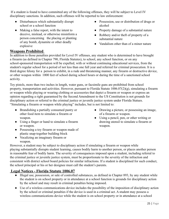If a student is found to have committed any of the following offenses, they will be subject to Level IV disciplinary sanctions. In addition, such offenses will be reported to law enforcement:

- Disturbances which substantially disrupt school or a school function
- Making a false report, with the intent to deceive, mislead, or otherwise misinform a person concerning the placing or planting of any bomb, dynamite or other deadly explosive
- Possession, use or distribution of drugs or alcohol
- Property damage of a substantial nature
- Robbery and/or theft of property of a substantial nature
- Vandalism other than of a minor nature

## **Weapons Prohibited**

In addition to those penalties provided for Level IV offenses, any student who is determined to have brought a firearm (as defined in Chapter 790, Florida Statutes), to school, any school function, or on any school-sponsored transportation will be expelled, with or without continuing educational services, from the student's regular school for a period of not less than one full year and referred for criminal prosecution. It is a third degree felony for a person to exhibit, in a rude and threatening manner, any firearm or destructive device, or other weapon within 1000 feet of school during school hours or during the time of a sanctioned school activity.

Toy pistols, more than two inches in length, water guns, or facsimile guns are prohibited from school property, transportation and activities. However, pursuant to Florida Statute 1006.07(2)(g), simulating a firearm or weapon while playing or wearing clothing or accessories that depict a firearm or weapon or express an opinion regarding a right guaranteed by the Second Amendment to the US Constitution is not grounds for disciplinary action or referral to the criminal justice or juvenile justice system under Florida Statues. "Simulating a firearm or weapon while playing" includes, but is not limited to:

- Brandishing a partially consumed pastry or other food item to simulate a firearm or weapon.
- Using a finger or hand to simulate a firearm or weapon.
- Possessing a toy firearm or weapon made of plastic snap-together building block
- Vocalizing an imaginary firearm or weapon.
- Drawing a picture, or possessing an image, of a firearm or weapon.
- Using a pencil, pen, or other writing or drawing utensil to simulate a firearm or weapon.

However, a student may be subject to disciplinary action if simulating a firearm or weapon while playing substantially disrupts student learning, causes bodily harm to another person, or places another person in reasonable fear of bodily harm. The severity of consequences imposed upon a student, including referral to the criminal justice or juvenile justice system, must be proportionate to the severity of the infraction and consistent with district school board policies for similar infractions. If a student is disciplined for such conduct, the school principal or his or her designee must call the student's parents.

## **Legal Notices - Florida Statute 1006.07**

- Illegal use, possession, or sale of controlled substances, as defined in Chapter 893, by any student while the student is on school property or in attendance at a school function is grounds for disciplinary action by the school and may result in criminal penalties being imposed.
- Use of a wireless communications device includes the possibility of the imposition of disciplinary action by the school or criminal penalties if the device is used in a criminal act. A student may possess a wireless communications device while the student is on school property or in attendance at a school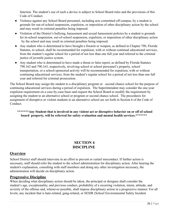function. The student's use of such a device is subject to School Board rules and the provisions of this Code of Conduct.

- Violence against any School Board personnel, including acts committed off-campus, by a student is grounds for out-of-school suspension, expulsion, or imposition of other disciplinary action by the school and may result in criminal penalties being imposed.
- Violation of the District's bullying, harassment and sexual harassment policies by a student is grounds for in-school suspension, out-of-school suspension, expulsion, or imposition of other disciplinary action by the school and may result in criminal penalties being imposed.
- Any student who is determined to have brought a firearm or weapon, as defined in Chapter 790, Florida Statutes, to school, shall be recommended for expulsion, with or without continual educational services, from the student's regular school for a period of not less than one full year and referred to the criminal justice of juvenile justice system.
- Any student who is determined to have made a threat or false report, as defined by Florida Statutes 790.162 and 790.163, respectively, involving school or school personnel's property, school transportation, or a school-sponsored activity will be recommended for expulsion, with or without continuing educational services, from the student's regular school for a period of not less than one full year and referred for criminal prosecution.

The School Board may assign the student to a disciplinary program or second chance school for the purpose of continuing educational services during a period of expulsion. The Superintendent may consider the one-year expulsion requirement on a case-by-case basis and request the School Board to modify the requirement by assigning the student to an alternative school or program or second chance school. The procedures for assignment of disruptive or violent students to an alternative school are set forth in Section 6 of the Code of Conduct.

#### **\*\*\*\*\*\*\*Any Student that is involved in any violent act or disruptive behavior on or off of school board property, will be referred for safety evaluation and mental health services.\*\*\*\*\*\*\***

# **SECTION 4 DISCIPLINE**

## **Overview**

School District staff should intervene in an effort to prevent or curtail misconduct. If further action is necessary, staff should refer the student to the school administration for disciplinary action. After hearing the student's explanation, consulting with staff members and doing any other investigation necessary, the administration will decide on disciplinary action.

## **Progressive Discipline**

When deciding what disciplinary action should be taken, the principal or designee shall consider the student's age, exceptionality, and previous conduct, probability of a recurring violation, intent, attitude, and severity of the offense and, whenever possible, shall impose disciplinary action in a progressive manner. For all levels, any incident that is hate-related, gang-related, or SESIR (School Environmental Safety Incident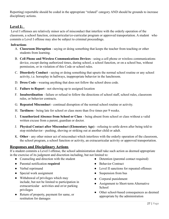Reporting) reportable should be coded in the appropriate "related" category AND should be grounds to increase disciplinary actions.

## **Level I:**

Level I offenses are relatively minor acts of misconduct that interfere with the orderly operation of the classroom, a school function, extracurricular/co-curricular program or approved transportation. A student who commits a Level I offense may also be subject to criminal proceedings.

#### **Infractions**

- A. **Classroom Disruption** saying or doing something that keeps the teacher from teaching or other students from learning.
- B. **Cell Phone and Wireless Communications Devices** using a cell phone or wireless communications device, except during authorized times, during school, a school function, or on a school bus, without permission, or in violation of this Code or school rules.
- C. **Disorderly Conduct** saying or doing something that upsets the normal school routine or any school activity, i.e. horseplay in hallways, inappropriate behavior in the lunchroom.
- D. **Dress Code** wearing anything that does not follow the school dress code.
- E. **Failure to Report** not showing up to assigned location
- F. **Insubordination** failure or refusal to follow the directions of school staff, school rules, classroom rules, or behavior contracts.
- G. **Repeated Misconduct** continual disruption of the normal school routine or activity.
- H. **Tardiness** being late for school or class more than five times per 9 weeks.
- I. **Unauthorized Absence from School or Class** being absent from school or class without a valid written excuse from a parent, guardian or doctor.
- J. **Physical Contact after Misconduct (Elementary Age)** refusing to settle down after being told to stop misbehavior - pushing, shoving or striking out at another child or adult.
- K. **Other** any other minor act of misconduct which interferes with the orderly operation of the classroom, the school program, a school function or activity, an extracurricular activity or approved transportation.

## **Responses and Disciplinary Actions**

If a student commits a Level I offense, the school administration shall take such action as deemed appropriate in the exercise of its judgment and discretion including, but not limited to:

- Counseling and direction with the student
- Parental notification **required**
- Verbal reprimand
- Special work assignment
- Withdrawal of privileges which may include, but not be limited to participation in extracurricular activities and or/or parking privileges
- Return of property, payment for same, or restitution for damages
- Detention (parental contact required)
- Behavior Contract
- Level II sanctions for repeated offenses
- Suspension from bus
- Corporal punishment
- Assignment to Short-term Alternative School
- Other school-based consequences as deemed appropriate by the administration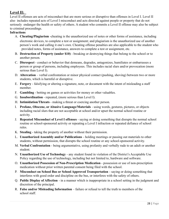# **Level II:**

Level II offenses are acts of misconduct that are more serious or disruptive than offenses in Level I. Level II also includes repeated acts of Level I misconduct and acts directed against people or property that do not seriously endanger the health or safety of others. A student who commits a Level II offense may also be subject to criminal proceedings.

#### **Infractions**

- A. **Cheating/Plagiarism** -cheating is the unauthorized use of notes or other forms of assistance, including electronic devices, to complete a test or assignment; and plagiarism is the unauthorized use of another person's work and calling it one's own. Cheating offense penalties are also applicable to the student who provided notes, forms of assistance, answers to complete a test or assignment, etc.
- B. **Destruction of Property (under \$10)** breaking or destroying things that belong to the school or to another person.
- C. **Disrespect** conduct or behavior that demeans, degrades, antagonizes, humiliates or embarrasses a person or group of persons, including employees. This includes racial slurs and/or provocation (more serious than Level I).
- D. **Altercation** verbal confrontation or minor physical contact (pushing, shoving) between two or more students, which is harmful or disruptive.
- E. **Forgery** falsifying or altering a signature, note, or document with the intent of misleading a staff member.
- F. **Gambling** betting on games or activities for money or other valuables.
- G. **Insubordination** repeated, (more serious than Level I).
- H. **Intimidation/Threats** making a threat or coercing another person.
- I. **Profane, Obscene, or Abusive Language/Materials** using words, gestures, pictures, or objects including racial slurs that are not acceptable at school and/or upset the normal school routine or activity.
- J. **Repeated Misconduct of Level I offenses** saying or doing something that disrupts the normal school routine or school-sponsored activity or repeating a Level I infraction or repeated defiance of school rules.
- K. **Stealing** taking the property of another without their permission.
- L. **Unauthorized Assembly and/or Publications** holding meetings or passing out materials to other students, without permission, that disrupts the school routine or any school-sponsored activity.
- M. **Verbal Confrontation** being argumentative, using profanity and verbally rude to an adult or another student.
- N. **Unauthorized Use of Technology** any student found in violation of the District's Acceptable Use Policy regarding the use of technology, including but not limited to, hardware and software.
- O. **Unauthorized Possession of Non-Prescription Medication** possession or use of non-prescription medication without prior written parental consent being filed with the school.
- P. **Misconduct on School Bus or School Approved Transportation** saying or doing something that interferes with good order and discipline on the bus, or interferes with the safety of others.
- Q. **Public Display of Affection** in a manner which is inappropriate in a school setting in the judgment and discretion of the principal.
- R. **False and/or Misleading Information** failure or refusal to tell the truth to members of the school staff.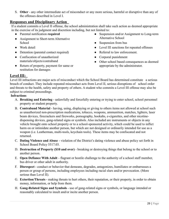S. **Other** - any other intermediate act of misconduct or any more serious, harmful or disruptive than any of the offenses described in Level I.

#### **Responses and Disciplinary Action**

If a student commits a Level II offense, the school administration shall take such action as deemed appropriate in the exercise of its judgment and discretion including, but not limited to:

- Parental notification **required**
- Assignment to Short-term Alternative **School**
- Work detail
- Detention (parental contact required)
- Confiscation of unauthorized materials/objects/contraband
- Return of property, payment for same or restitution for damages
- Suspension and/or Assignment to Long-term Alternative School
- Suspension from bus
- Level III sanctions for repeated offenses
- Referral to law enforcement.
- Corporal punishment
- Other school based consequences as deemed appropriate by the administrator.

## **Level III:**

Level III infractions are major acts of misconduct which the School Board has determined constitute a serious breach of conduct. They include repeated misconduct acts from Level II, serious disruptions of school order and threats to the health, safety and property of others. A student who commits a Level III offense may also be subject to criminal proceedings.

#### **Infractions**

- A. **Breaking and Entering** unlawfully and forcefully entering or trying to enter school, school personnel property or student property.
- B. **Contraband Material** having, using, displaying or giving to others items not allowed at school such as unauthorized non-prescription medications, tobacco, weapons, ammunition, matches, lighters, laser beam devices, firecrackers and fireworks, pornography, hookahs, e-cigarettes, and other nicotinedispensing devices, gang-related signs or symbols. Also included are instruments or objects in any vehicle brought onto school property or to a school-sponsored activity, which could be used to inflict harm on or intimidate another person, but which are not designed or ordinarily intended for use as a weapon (i.e. Leatherman, multi-tools, keychain tools). These items may be confiscated and not returned.
- C. **Dating Violence and Abuse** violation of the District's dating violence and abuse policy set forth in School Board Policy 5517.03.
- D. **Destruction of Property (\$10 and over)** breaking or destroying things that belong to the school or to another person.
- E. **Open Defiance With Adult** flagrant or hostile challenge to the authority of a school staff member, bus driver or other adult in authority.
- F. **Disrespect** conduct or behavior that demeans, degrades, antagonizes, humiliates or embarrasses a person or group of persons, including employees including racial slurs and/or provocation. (More serious than Level II).
- G. **Extortion/Threats** making threats to hurt others, their reputation, or their property, in order to obtain money, information, or help from them.
- H. **Gang-Related Signs and Symbols** use of gang-related signs or symbols, or language intended or reasonably calculated to insult and/or incite another person.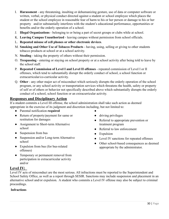- I. **Harassment** any threatening, insulting or dehumanizing gesture, use of data or computer software or written, verbal, or physical conduct directed against a student or school employee which places the student or the school employee in reasonable fear of harm to his or her person or damage to his or her property and/or substantially interferes with the student's educational performance, opportunities or benefits and/or the orderly operation of a school.
- J. **Illegal Organizations** belonging to or being a part of secret groups or clubs while at school.
- K. **Leaving Campus Unauthorized** leaving campus without permission from school officials.
- L. **Repeated misuse of cell phones or other electronic devices**.
- M. **Smoking and Other Use of Tobacco Products** having, using, selling or giving to other students tobacco products at school or at a school activity.
- N. **Stealing** taking the property of others without their permission.
- O. **Trespassing** entering or staying on school property or at a school activity after being told to leave by the school staff.
- P. **Repeated Commission of Level I and Level II offenses** repeated commission of Level I or II offenses, which tend to substantially disrupt the orderly conduct of school, a school function or extracurricular/co-curricular activity.
- Q. **Other** any other major act of misconduct which seriously disrupts the orderly operation of the school program, or any school activity or transportation services which threatens the health, safety or property of self or of others or behavior not specifically described above which substantially disrupts the orderly conduct of a school, school function or an extracurricular activity.

## **Responses and Disciplinary Action**

If a student commits a Level III offense, the school administration shall take such action as deemed appropriate in the exercise of its judgment and discretion including, but not limited to:

- Parental notification **required**
- Return of property/payment for same or restitution for damages
- Assignment to Short-term Alternative school
- Suspension from bus
- Suspension and/or Long-term Alternative school
- Expulsion from bus (for bus-related offenses)
- Temporary or permanent removal from participation in extracurricular activity and/or
- ●
- driving privileges
- Referral to appropriate prevention or treatment program
- Referral to law enforcement
- Expulsion
- Level IV sanctions for repeated offenses
- Other school-based consequences as deemed appropriate by the administrator.

## **Level IV:**

Level IV acts of misconduct are the most serious. All infractions must be reported to the Superintendent and School Safety Office, as well as a report through SESIR. Sanctions may include suspension and placement in an alternative school and/or expulsion. A student who commits a Level IV offense may also be subject to criminal proceedings.

## **Infractions**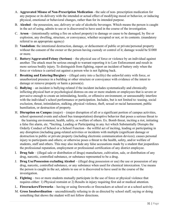- A. **Aggravated Misuse of Non-Prescription Medication** the sale of non- prescription medication for any purpose or its delivery with the intended or actual effect of modifying mood or behavior, or inducing physical, emotional or behavioral changes, rather than for its intended purpose.
- B. **Alcohol** the possession, use, delivery or sale of alcoholic beverages. Which means the person is caught in the act of using, admits to use or is discovered to have used in the course of the investigation.
- C. **Arson** (intentionally setting a fire on school property) to damage or cause to be damaged, by fire or explosion, any dwelling, structure, or conveyance, whether occupied or not, or its contents. (mandatory referral to an appropriate agency)
- D. **Vandalism**: the intentional destruction, damage, or defacement of public or private/personal property without the consent of the owner or the person having custody or control of it; damage would be \$1000 or more.
- E. **Battery/Aggravated/Felony (Serious)** the physical use of force or violence by an individual against another. The attack must be serious enough to warrant reporting it to Law Enforcement and result in more serious bodily injury. To distinguish from fighting, report an incident of battery only when the force or violence is carried out against a person who is not fighting back.
- F. **Breaking and Entering/Burglary** (illegal entry into a facility) the unlawful entry with force, or unauthorized presence in a building or other structure or conveyance with evidence of the intent to damage or remove property or harm a person(s).
- G. **Bullying** an incident is bullying-related if the incident includes systematically and chronically inflicting physical hurt or psychological distress on one or more students or employees that is severe or pervasive enough to create an intimidating, hostile, or offensive environment; or unreasonably interfere with the individual's school performance or participation. Includes, but is not limited to: teasing, social exclusion, threat, intimidation, stalking, physical violence, theft, sexual or racial harassment, public humiliation, or destruction of property.
- H. **Disruption on Campu**s (major) (major disruption of all or a significant portion of campus activities, school sponsored events and school bus transportation) disruptive behavior that poses a serious threat to the learning environment, health, safety, or welfare of others. Ex. Bomb threat, inciting a riot, initiating a false fire alarm, etc. \*Inciting, Leading or Participating in any Act which Substantially Disrupts the Orderly Conduct of School or a School Function - the willful act of inciting, leading or participating in any disruption (including gang-related activities or incidents with multiple (significant damage or destruction to public or private property (including electronic communication devices); causes personal injury to participants and others; or otherwise poses a threat to the health, safety, and/or welfare of students, staff and others. This may also include any false accusations made by a student that jeopardizes the professional reputation, employment or professional certification of any district employee.
- I. **Drug Sale** (illegal sale or distribution of drugs) manufacture, cultivation, sale, or distribution of any drug, narcotic, controlled substance, or substance represented to be a drug.
- J. **Drug Use/Possession excluding Alcohol** (illegal drug possession or use) the use or possession of any drug, narcotic, controlled substance, or any substance when used for chemical intoxication. Use means the person is caught in the act, admits to use or is discovered to have used in the course of the investigation.
- K. **Fighting** two or more students mutually participate in the use of force or physical violence that requires either: 1) Physical restraint or 2) Results in injury requiring first aid or medical attention.
- L. **Firecrackers/Fireworks** having or using fireworks or firecrackers at school or at a school activity.
- M. **Gross Insubordination** unconditionally refusing to do as directed by school staff; saying or doing something that shows the student will not follow directions.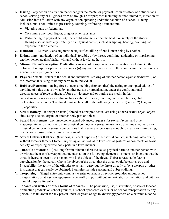- N. **Hazing** any action or situation that endangers the mental or physical health or safety of a student at a school serving any or all grades from 6 through 12 for purposes including but not limited to, initiation or admission into affiliation with any organization operating under the sanction of a school. Hazing includes, but is not limited to pressuring, coercing, or forcing a student into:
	- Violating state or federal law
	- Consuming any food, liquor, drug, or other substance
	- Participating in physical activity that could adversely affect the health or safety of the student Hazing also includes any brutality of a physical nature, such as whipping, beating, branding, or exposure to the elements.
- O. **Homicide** (Murder, Manslaughter) the unjustified killing of one human being by another.
- P. **Kidnapping** (abduction of an individual) forcibly, or by threat, confining, abducting or imprisoning another person against/his/her will and without lawful authority.
- Q. **Misuse of Non-Prescription Medication** misuse of non-prescription medication, including (i) the delivery of non-prescription medication or (ii) any use inconsistent with the manufacturer's directions or generally accepted guidelines.
- R. **Physical Attack** refers to the actual and intentional striking of another person against his/her will, or the intentional causing of bodily harm to an individual.
- S. **Robbery/Extortion** (using force to take something from another) the taking or attempted taking of anything of value that is owned by another person or organization, under the confrontational circumstances of force or threat of force or violence and/or putting the victim in fear.
- T. **Sexual Assault** an incident that includes a threat of: rape, fondling, indecent liberties, child molestation, or sodomy. The threat must include all of the following elements: 1) intent; 2) fear; and 3) capability.
- U. **Sexual Battery** (attempt or actual) forced or attempted sexual act using either a sexual organ, object simulating a sexual organ, or another body part or object.
- V. **Sexual Harassment** any unwelcome sexual advances, requests for sexual favors, and other inappropriate verbal, non-verbal, or physical conduct of a sexual nature. Also any unwanted verbal or physical behavior with sexual connotations that is severe or pervasive enough to create an intimidating, hostile, or offensive educational environment.
- W. **Sexual Offenses (Other)** (lewdness, indecent exposure) other sexual contact, including intercourse, without force or threat of force. Subjecting an individual to lewd sexual gestures or comments or sexual activity, or exposing private body parts in a lewd manner.
- X. **Threat/Intimidation** (instilling fear in others) a threat to cause physical harm to another person with or without the use of a weapon that includes all of the following elements; 1) intent- an intention that the threat is heard or seen by the person who is the object of the threat; 2) fear-a reasonable fear or apprehension by the person who is the object of the threat that the threat could be carries out; and 3) capability-the ability of the offender to actually carry out the threat directly or by a weapon or other instrument that can easily be obtained. Examples include stalking and cyber-stalking.
- Y. **Trespassing** (illegal entry onto campus) to enter or remain on school grounds/campus, school transportation, or at a school-sponsored event/off campus without authorization or invitation and with no lawful purpose for entry.
- Z. **Tobacco (cigarettes or other forms of tobacco)** The possession, use, distribution, or sale of tobacco or nicotine products on school grounds, at school-sponsored events, or on school transportation by any person. It is unlawful for any person under 21 years of age to knowingly possess an electronic nicotine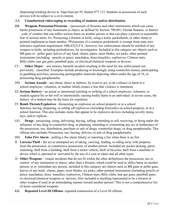dispensing/smoking device ie. Vape/Juul per FL Statute 877.112. Students in possession of such devices will be subject to a civil citation.

- AA. **Unauthorized video-taping or recording of students and/or distribution**.
- BB. **Weapons Possession/Firearms** (possession of firearms and other instruments which can cause harm) possession of any instrument or object, as defined by Section 790.001, Florida Statutes, or district code of conduct that can inflict serious harm on another person or that can place a person in reasonable fear of serious harm. Ex. Possessing a firearm or knife, using a knife, pocketknife, or other sharp or pointed implement to harm another. \*Possession of a common pocketknife is exempt from state zero tolerance expulsion requirement 1006.07(2) F.S.; however, law enforcement should be notified of any weapon or knife, including pocketknives, for investigation. Included in this category are objects such as BB guns or pellet guns, knives of any kind, chains, pipes, razor blades, ice picks, other pointed instruments (including pencils or pens), nunchakus, brass knuckles, explosives, Chinese stars, Billy-clubs, tear gas guns, paintball guns, or electrical/chemical weapons or devices.
- CC. **Other Major** any serious, harmful incident resulting in the need for law enforcement not previously classified. Examples include producing or knowingly using counterfeit money, participating in gambling activities, possessing pornographic materials depicting others under the age of 18, or possessing drug paraphernalia.
- DD. **Serious Assault** any threat, direct or indirect, by word or act, to do violence or harm to a school employee, volunteer, or student which creates a fear that violence is imminent,
- EE.**Serious Battery** an actual or intentional touching or striking of a school employee, volunteer, or student against his or her will or intentionally causing bodily harm to an individual; in severe cases, the battery of a student may be the basis for expulsion.
- FF. **Bomb Threats/Explosives** threatening an explosion on school property or at a school function; having, preparing, or setting off explosives (including fireworks) on school property, or at a school function. This also includes items that appear to be explosive devices including novelty items, toys, and/or replicas.
- GG. **Drugs** possessing, using, delivering, buying, selling, intending to sell, receiving, or being under the influence of any drug or counterfeit drug, or planning, intending or committing any act in furtherance of the possession, use, distribution, purchase or sale of drugs, counterfeit drugs, or drug paraphernalia. This offense also includes Possession, use, buying, delivery or sale of drug paraphernalia.
- HH. **False Fire Alarm** pulling a fire alarm falsely or reporting a fire when there is no fire.
- II. **Larceny/Theft** the act or attempted act of taking, carrying, leading, or riding away with property, from the possession, or constructive possession, of another person. Included are pocket picking, purse snatching, theft from a building, theft from a motor vehicle, theft of bicycles, theft from a machine or device which is operated or activated by the use of a coin or token and all other types.
- JJ. **Other Weapons** (major incidents that do not fit within the other definitions) the possession, use or control of any instrument or object, other than a firearm, which could be used to inflict harm on another person, or to intimidate any person; included in this category are objects such as BB guns or pellet guns, knives of any kind, chains, pipes, razor blades, ice picks, other pointed instruments (including pencils or pens), nunchakus, brass knuckles, explosives, Chinese stars, Billy-clubs, tear gas guns, paintball guns, or electrical/chemical weapons or devices. Also included is anything represented to be a firearm or other weapon if used in an intimidating manner toward another person? This is not a comprehensive list of items considered weapons.
- KK. **Repeated Level III Offense** repeated commission of a Level III offense.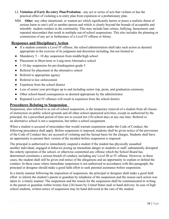- LL.**Violation of Early Re-entry Plan/Probation** any act or series of acts that violates or has the practical effect of violating a re-entry plan from expulsion or a probationary plan.
- MM. **Othe**r -any other intentional, or wanton act which significantly harms or poses a realistic threat of serious harm to one's self or another person and which is clearly beyond the bounds of acceptable and tolerable student conduct in the community. This may include hate crimes, bullying, harassment, and repeated misconduct that result in multiple out-of-school suspensions. This also includes the planning or commission of any act in furtherance of a Level IV offense or felony.

## **Responses and Disciplinary Action**

- If a student commits a Level IV offense, the school administration shall take such action as deemed appropriate in the exercise of its judgment and discretion including, but not limited to:
- Mandatory  $5 10$  day suspension from middle/high school
- Placement in Short-term or Long-term Alternative school
- 1-10 day suspension for pre-kindergarten-grade 5
- Referral for placement in the alternative school
- Referral to appropriate agency
- Referral to law enforcement
- Expulsion from the school district
- Loss of senior year privileges up to and including senior trip, prom, and graduation ceremony
- Other school-based consequences as deemed appropriate by the administrator.
- Repeated Level IV offenses will result in expulsion from the school district.

## **Procedures Relating to Suspension**

Suspension, also referred to as out-of-school suspension, is the temporary removal of a student from all classes of instruction on public school grounds and all other school-sponsored activities, except as authorized by the principal, for a prescribed period of time not to exceed ten (10) school days at any one time. Referral to an alternative school is not a suspension, but rather a school assignment.

When a student is accused of misconduct that would warrant suspension under the Code of Conduct, the following procedures shall apply. Before suspension is imposed, students shall be given notice of the provisions of the Code of Conduct they are accused of violating and the factual basis for the charges. Students shall have an opportunity to present their version of the incident before suspension is imposed.

The principal is authorized to immediately suspend a student if the student has physically assaulted another individual, engaged in behavior posing an immediate danger to students or staff, substantially disrupted the orderly operation of the school, or otherwise committed any offense which the School Board has determined constitutes a serious breach of conduct, including any Level III or IV offense. However, in these cases, the student shall still be given oral notice of the allegations and an opportunity to explain or defend the conduct. In these cases where immediate suspension is not authorized in accordance with this paragraph, the principal or designee should make a good faith effort to seek parental assistance before suspension.

In a timely manner following the imposition of suspension, the principal or designee shall make a good faith effort to inform the student's parent or guardian by telephone of the suspension and the reason such action was taken in a timely manner. The suspension and the reason for the suspension shall be communicated in writing to the parent or guardian within twenty-four (24) hours by United States mail or hand delivery. In case of high school students, written notice of suspension may be hand delivered in the care of the student.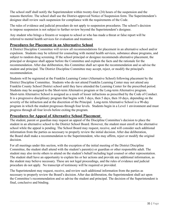The school staff shall notify the Superintendent within twenty-four (24) hours of the suspension and the reasons therefore. The school shall use the District-approved Notice of Suspension form. The Superintendent's designee shall review such suspension for compliance with the requirements of the Code.

The rules of evidence and judicial procedure do not apply to suspension procedures. The school's decision to impose suspension is not subject to further review beyond the Superintendent's designee.

Any student who brings a firearm or weapon to school or who has made a threat or false report will be referred to mental health services for evaluation and treatment.

## **Procedures for Placement in an Alternative School**

A District Discipline Committee will review all recommendations for placement in an alternative school and/or expulsion. Students may be referred for counseling with mental health services, substance abuse programs, and subject to random drug screening. If the school principal or designee recommends alternative placement, the principal or designee shall appear before the Committee and explain the facts and the rationale for the recommendation. After due deliberation, this Committee shall act upon the recommendation and so advise the student and principal. The District Discipline Committee may accept, reject, or modify the principal's recommendation.

Students will be registered at the Franklin Learning Center (Alternative School) following placement by the District Discipline Committee. Students who do not attend Franklin Learning Center may not attend any Franklin County School District school until they have attended the Learning Center for the prescribed period. Students may be assigned to the Short-term Alternative program or the Long-term Alternative program. Short-term Alternative School is assigned as a result of lesser infractions as prescribed by the Code of Conduct. It is a progressive disciplinary program that begins with 3 days, then 5 days, then 10 days, depending on the severity of the infraction and at the discretion of the Principal. Long-term Alternative School is a 90-day program in which the student progresses through four levels. Students begin in a Level 1 environment and must progress through all four levels before exiting the program.

## **Procedures for Appeal of Alternative School Placement**

The student, parent or guardian may request an appeal of the Discipline Committee's decision to place the student in an alternative school to the District School Board. However, the student must enroll at the alternative school while the appeal is pending. The School Board may request, receive, and will consider such additional information from the parties as necessary to properly review the initial decision. After due deliberation, the Board shall make a recommendation to the Superintendent, who may affirm, reject or modify the original decision.

For all meetings under this section, with the exception of the initial meeting of the District Discipline Committee, the student shall attend with the student's parent(s) or guardian or other responsible adult. The student may also invite others to attend on the student's behalf including legal counsel or other representation. The student shall have an opportunity to explain his or her actions and provide any additional information, as the student may believe necessary. These are not legal proceedings, and the rules of evidence and judicial procedure do not apply. No transcript of testimony will be required or provided.

The Superintendent may request, receive, and review such additional information from the parties as necessary to properly review the Board's decision. After due deliberation, the Superintendent shall act upon the Committee's recommendation and so advise the student and principal. The decision of the Superintendent is final, conclusive and binding.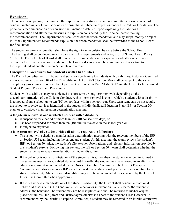## **Expulsion**

The school Principal may recommend the expulsion of any student who has committed a serious breach of conduct, including any Level IV or other offense that is subject to expulsion under this Code or Florida law. The principal's recommendation of expulsion shall include a detailed report explaining the basis for the recommendation and alternative measures to expulsion considered by the principal before making the recommendation. The Superintendent shall consider the recommendation and may adopt, modify or reject it. If the Superintendent recommends expulsion, the recommendation shall be forwarded to the School Board for final action.

The student or parent or guardian shall have the right to an expulsion hearing before the School Board. The hearing shall be conducted in accordance with the requirements and safeguards of School Board Policy 5610. The District School Board shall review the recommendation for expulsion and either accept, reject or modify the principal's recommendation. The Board's decision shall be communicated in writing to the Superintendent and the student's parents or guardian.

## **Discipline Procedures for Students with Disabilities**

The District complies with all federal and state laws pertaining to students with disabilities. A student identified as disabled under Section 504 of the Rehabilitation Act of 1973 (Section 504) shall be subject to the same disciplinary procedures prescribed by Department of Education Rule 6A-6.03312 and the District's Exceptional Student Program Policies and Procedures.

Students with disabilities may be subjected to short-term or long-term removals depending on the disciplinary infraction of the Code of Conduct. A short-term removal is one in which a student with a disability is removed from a school up to ten (10) school days within a school year. Short-term removals do not require the school to provide services identified in the student's Individualized Education Plan (IEP) or Section 504 plan, or to conduct a manifestation determination meeting.

## **A long-term removal is one in which a student with a disability:**

- is suspended for a period of more than ten (10) consecutive days, or
- has been suspended for more than ten (10) cumulative days in the school year, or
- Is subject to expulsion.

## **A long-term removal of a student with a disability requires the following:**

- The school will schedule a manifestation determination meeting with the relevant members of the IEP or Section 504 team including the parent and student. At this meeting, the team reviews the student's IEP or Section 504 plan, the student's file, teacher observations, and relevant information provided by the student's parents. Following this review, the IEP or Section 504 team shall determine whether the student's behavior was a manifestation of his/her disability.
- If the behavior is not a manifestation of the student's disability, then the student may be disciplined in the same manner as non-disabled students. Additionally, the student may be removed to an alternative education setting if recommended by the District Discipline Committee. The District Discipline Committee will also serve as an IEP team to consider any educational placement issues relating to the student's disability. Students with disabilities may also be recommended for expulsion by the District Discipline Committee when appropriate.
- If the behavior is a manifestation of the student's disability, the District shall conduct a functional behavioral assessment (FBA) and implement a behavior intervention plan (BIP) for the student to address the behavior. The student may not be disciplined and shall be returned to his/her original placement unless the parent and District agree otherwise as part of the student's IEP. However, if recommended by the District Discipline Committee, a student may be removed to an interim alternative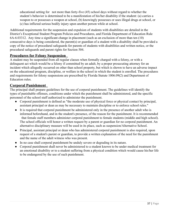educational setting for not more than forty-five (45) school days without regard to whether the student's behavior is determined to be a manifestation of his/her disability if the student: (a) carries a weapon to or possesses a weapon at school, (b) knowingly possesses or uses illegal drugs at school, or (c) has inflicted serious bodily injury upon another person while at school.

Additional requirements for the suspension and expulsion of students with disabilities are detailed in the District's Exceptional Student Program Policies and Procedures, and Florida Department of Education Rule 6A-6.03312. Any time a significant change in placement (such as an exclusion of more than ten (10) consecutive days is being considered, the parent(s) or guardian of a student with a disability shall be provided a copy of the notice of procedural safeguards for parents of students with disabilities and written notice, or the procedural safeguards and parent rights for Section 504.

## **Procedures for Felony Suspension**

A student may be suspended from all regular classes when formally charged with a felony, or with a delinquent act which would be a felony if committed by an adult, by a proper prosecuting attorney for an incident which allegedly occurred on other than school property, but which is shown to have an adverse impact on the educational program, discipline, or welfare in the school in which the student is enrolled. The procedures and requirements for felony suspensions are prescribed by Florida Statute 1006.09(2) and Department of Education rules.

## **Corporal Punishment**

The principal shall prepare guidelines for the use of corporal punishment. The guidelines will identify the types of punishable offenses, conditions under which the punishment shall be administered, and the specific personnel of the school staff authorized to administer the punishment.

- Corporal punishment is defined as "the moderate use of physical force or physical contact by principal, assistant principal or dean as may be necessary to maintain discipline or to enforce school rules."
- It is required that corporal punishment be administered only in the presence of another adult who is informed beforehand, and in the student's presence, of the reason for the punishment. It is recommended that female staff members administer corporal punishment to female students (middle and high school). The school officials will honor a written request by a parent or guardian for no corporal punishment. An alternative disciplinary measure will be used in its place, such as suspension/Alternative School.
- Principal, assistant principal or dean who has administered corporal punishment is also required, upon request of a student's parent or guardian, to provide a written explanation of the need for the punishment and the name of the adult witness who was present.
- In no case shall corporal punishment be unduly severe or degrading in its nature.
- Corporal punishment shall never be administered to a student known to be under medical treatment for an emotional disability or to a student suffering from a physical condition which would cause his/her life to be endangered by the use of such punishment.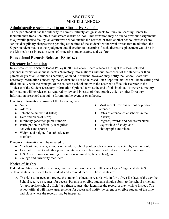# **SECTION V MISCELLANEOUS**

## **Administrative Assignment to an Alternative School**

The Superintendent has the authority to administratively assign students to Franklin Learning Center to facilitate their transition into a mainstream district school. This transition may be due to previous assignments to a juvenile justice facility, an alternative school outside the District, or from another school district where serious disciplinary charges were pending at the time of the student's withdrawal or transfer. In addition, the Superintendent may use their judgment and discretion to determine if such alternative placement would be in the District's best interest in terms of protecting student safety and welfare.

## **Educational Records Release - FS 1002.22**

#### **Directory Information**

In accordance with School Board Policy 8330, the School Board reserves the right to release selected personal information about students ("Directory Information") without the consent of the students or their parents or guardian. A student's parent(s) or an adult student, however, may notify the School Board that Directory Information concerning the student shall not be released. Such "opt-out" notice shall be in writing and filed annually with the principal of the student's school and with the District's office. Please refer to the "Release of the Student Directory Information Options" form at the end of this booklet. However, Directory Information will be released as required by law and in cases of photographs, video or other Directory Information presented at a public forum, public event or open house.

Directory Information consists of the following data:

- Name;
- Address:
- Telephone number, if listed;
- Date and place of birth;
- Internally generated pupil number;
- Participation in officially recognized activities and sports;
- Weight and height, if an athletic team member;
- Most recent previous school or program attended<sup>-</sup>
- Dates of attendance at schools in the District;
- Degrees, awards and honors received;
- Major Field of study; and
- Photographs and video

Directory Information will be released to:

- Yearbook publishers, school ring vendors, school photograph vendors, as selected by each school;
- Law enforcement and other governmental agencies, both state and federal (official request only);
- U.S. Armed Forces recruiting officials (as required by federal law); and
- College and university recruiters

## **Notice of Rights**

Federal and State law affords parents, guardians and students over 18 years of age ("eligible students") certain rights with respect to the student's educational records. These rights are:

A. The right to inspect and review the student's education records within forty-five (45) days of the day the School receives a request for access. Parents or eligible students should submit to the school principal [or appropriate school official] a written request that identifies the record(s) they wish to inspect. The school official will make arrangements for access and notify the parent or eligible student of the time and place where the records may be inspected.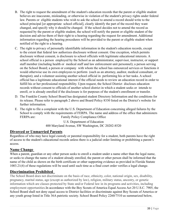- B. The right to request the amendment of the student's education records that the parent or eligible student believes are inaccurate, misleading, or otherwise in violation of the student's privacy rights under federal law. Parents or eligible students who wish to ask the school to amend a record should write to the school principal [or appropriate school official], clearly identify the part of the record they want changed, and specify why it should be changed. If the school decides not to amend the record as requested by the parent or eligible student, the school will notify the parent or eligible student of the decision and advise them of their right to a hearing regarding the request for amendment. Additional information regarding the hearing procedures will be provided to the parent or eligible student when notified of the right to a hearing.
- C. The right to privacy of personally identifiable information in the student's education records, except to the extent that federal law authorizes disclosure without consent. One exception, which permits disclosure without consent, is disclosure to school officials with legitimate educational interests. A school official is a person employed by the School as an administrator, supervisor, instructor, or support staff member (including health or medical staff and law enforcement unit personnel); a person serving on the School Board; a person or company with whom the school has outsourced services or functions it would otherwise use its own employees to perform (such as an attorney, auditor, medical consultant, or therapist); and a volunteer assisting another school official in performing his or her tasks. A school official has a legitimate educational interest if the official needs to review an education record in order to fulfill his or her professional responsibility. Upon request, the School District discloses education records without consent to officials of another school district in which a student seeks or intends to enroll, or is already enrolled if the disclosure is for purposes of the student's enrollment or transfer.
- D. The Franklin County School Board has designated student Directory Information and the conditions for its release. Please refer to paragraph 2 above and Board Policy 8330 listed on the District's website for further information.
- E. The right to file a complaint with the U.S. Department of Education concerning alleged failures by the School to comply with the requirements of FERPA. The name and address of the office that administers FERPA are: Family Policy Compliance Office

U.S. Department of Education 400 Maryland Avenue, SW Washington, DC 20202-8520

## **Divorced or Unmarried Parents**

Regardless of who may have legal custody or parental responsibility for a student, both parents have the right of access to the student's educational records unless there is a judicial order limiting or prohibiting a parent's access.

## **Name Change**

When a parent, guardian or any other person seeks to enroll a student under a name other than the legal name, or seeks to change the name of a student already enrolled, the parent or other person shall be informed that the name of the child as shown on the birth certificate or other supporting evidence as provided in Florida Statute 1003.21(4) of these regulations will be used until such time as a final court order verifies a legal change.

## **Discrimination Prohibited**

The School Board does not discriminate on the basis of race, ethnicity, color, national origin, sex, disability, pregnancy, marital status, age (except as authorized by law), religion, military status, ancestry, or genetic information which are classes protected by State and/or Federal law in its programs and activities, including employment opportunities.In accordance with the Boy Scouts of America Equal Access Act 20 U.S.C. 7905, the School Board shall not deny equal access to District facilities or discriminate against Boy Scouts of America or any youth group listed in Title 36A patriotic society. School Board Policy 2260/7510 as summarized below,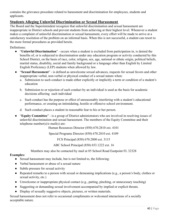contains the grievance procedure related to harassment and discrimination for employees, students and applicants.

## **Students Alleging Unlawful Discrimination or Sexual Harassment**

The Board and the Superintendent recognize that unlawful discrimination and sexual harassment are inappropriate in District schools and prevent students from achieving at their highest level. Whenever a student makes a complaint of unlawful discrimination or sexual harassment, every effort will be made to arrive at a satisfactory resolution of the problem on an informal basis. When this is not successful, a student can resort to the more formal procedures as provided herein.

Definitions:

- "**Unlawful Discrimination**" occurs when a student is excluded from participation in, is denied the benefits of, or is subjected to discrimination under any education program or activity conducted by this School District, on the basis of race, color, religion, sex, age, national or ethnic origin, political beliefs, marital status, disability, social and family background or a language other than English by Limited English Proficiency (LEP) students when allowed by law.
- "**Sexual Harassment**" is defined as unwelcome sexual advances, requests for sexual favors and other inappropriate verbal, non-verbal or physical conduct of a sexual nature when:
	- a. Submission to such conduct is made either explicitly or implicitly a term or condition of a student's education
	- b. Submission to or rejection of such conduct by an individual is used as the basis for academic decisions affecting such individual
	- c. Such conduct has the purpose or effect of unreasonably interfering with a student's educational performance, or creating an intimidating, hostile or offensive school environment.
	- d. Such conduct places a student in reasonable fear to his or her person.
- "**Equity Committee**" is a group of District administrators who are involved in resolving issues of unlawful discrimination and sexual harassment. The members of the Equity Committee and their telephone number(s)/e mail(s) are:

Human Resources Director (850) 670.2810 ext. 4101

Special Programs Director (850) 670.2810 ext. 4109

FCS Principal (850) 670.2800 ext. 3115

ABC School Principal (850) 653.1222 ext. 16

Members may also be contacted by mail at 85 School Road Eastpoint FL 32328

#### **Examples:**

- Sexual harassment may include, but is not limited to, the following:
- Verbal harassment or abuse of a sexual nature
- Subtle pressure for sexual activity
- Repeated remarks to a person with sexual or demeaning implications (e.g., a person's body, clothes or sexual activity, etc.)
- Unwelcome or inappropriate physical contact (e.g., patting, pinching, or unnecessary touching)
- Suggesting or demanding sexual involvement accompanied by implied or explicit threats.
- Display of sexually suggestive objects, pictures, or written materials.

Sexual harassment does not refer to occasional compliments or welcomed interactions of a socially acceptable nature.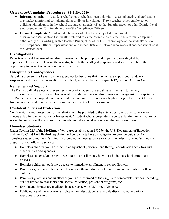## **Grievance/Complaint Procedures - SB Policy 2260**

- **Informal complaint-** A student who believes s/he has been unlawfully discriminated/retaliated against may make an informal complaint, either orally or in writing: (1) to a teacher, other employee, or building administrator in the school the student attends; (2) to the Superintendent or other District-level employee; and/or (3) directly to one of the Compliance Officers.
- **Formal Complaint-** A student who believes s/he has been subjected to unlawful discrimination/retaliation (hereinafter referred to as the "complainant") may file a formal complaint, either orally or in writing, with a teacher, Principal, or other District employee at the student's school, the Compliance Officer, Superintendent, or another District employee who works at another school or at the District level.

#### **Investigations**

Reports of sexual harassment and discrimination will be promptly and impartially investigated by appropriate District staff. During the investigation, both the alleged perpetrator and victim will have the opportunity to present witnesses and other evidence.

## **Disciplinary Consequences**

Sexual harassment is a Level IV offense, subject to discipline that may include expulsion, mandatory suspension and placement in an alternative school, as prescribed in Paragraph 12, Section 3 of this Code.

## **Remedies and Support**

The District will take steps to prevent recurrence of incidents of sexual harassment and to remedy the discriminatory effects of such harassment. In addition to taking disciplinary action against the perpetrator, the District, when appropriate, will work with the victim to develop a safety plan designed to protect the victim from recurrence and to remedy the discriminatory effects of the harassment.

## **Confidentiality and Protection**

Confidentiality and protection from retaliation will be provided to the extent possible to any student who alleges unlawful discrimination or harassment. A student who appropriately reports unlawful discrimination or sexual harassment will not be subjected to adverse educational action or retaliation in any form.

## **Homeless Students**

Under Section 725 of the **McKinney-Vento Act** established in 1987 by the U.S. Department of Education and the **No Child Left Behind** legislation, school districts have an obligation to provide guidance for homeless students and their families. Incorporated in these guidance services, homeless students/families are eligible for the following services:

- Homeless children/youth are identified by school personnel and through coordination activities with other entities and agencies
- Homeless students/youth have access to a district liaison who will assist in the school enrollment process
- Homeless children/youth have access to immediate enrollment in school districts.
- Parents or guardians of homeless children/youth are informed of educational opportunities for their children.
- Parents or guardians and unattached youth are informed of their rights to comparable services, including, but not limited to, transportation, special education, pre-school programs, etc.
- Enrollment disputes are mediated in accordance with McKinney-Vento Act
- Public notice of the educational rights of homeless students is widely disseminated to various appropriate locations.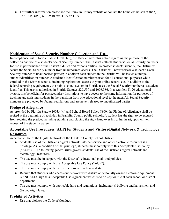• For further information please see the Franklin County website or contact the homeless liaison at (843) 957-3248. (850) 670-2810 ext. 4129 or 4109

## **Notification of Social Security Number Collection and Use**

In compliance with Florida Statute 119.071(5), the District gives this notice regarding the purpose of the collection and use of a student's Social Security number. The District collects students' Social Security numbers for use in performance of the District's duties and responsibilities. To protect students' identity, the District will secure the Social Security number from unauthorized access. The District will never release a student's Social Security number to unauthorized parties; in addition each student in the District will be issued a unique student identification number. A student's identification number is used for all educational purposes while enrolled in the District schools, including registration, access to your online record, etc. In addition to the federal reporting requirements, the public school system in Florida uses the Social Security number as a student identifier. This use is authorized in Florida Statutes 229.559 and 1008.386. In a seamless K-20 educational system, it is beneficial for postsecondary institutions to have access to the same information for purposes of tracking and assisting students in the transition from one educational level to the next. All Social Security numbers are protected by federal regulations and are never released to unauthorized parties.

## **Pledge of Allegiance**

As provided by Florida Statute 1003.44(i) and School Board Policy 8800, the Pledge of Allegiance shall be recited at the beginning of each day in Franklin County public schools. A student has the right to be excused from reciting the pledge, including standing and placing the right hand over his or her heart, upon written request of the student's parent.

## **Acceptable Use Procedures (AUP) for Students and Visitors/Digital Network & Technology Resources**

Acceptable Use of the Digital Network of the Franklin County School District

- Students' use of the District's digital network, internet service and other electronic resources is a privilege. As a condition of that privilege, students must comply with this Acceptable Use Policy ("AUP"). The following general rules govern students' use of the District's digital network and technology resources:
- The use must be in support with the District's educational goals and policies.
- The use must comply with this Acceptable Use Policy ("AUP").
- The use must comply with the instructions of teachers and staff.
- Require that students who access our network with district or personally owned electronic equipment ANNUALLY sign this Acceptable Use Agreement which is to be kept on file at each school or district department.
- The use must comply with applicable laws and regulations, including (a) bullying and harassment and (b) copyright laws.

## **Prohibited Activities**

● Use that violates the Code of Conduct.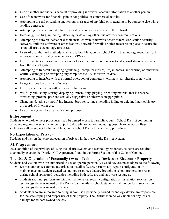- Use of another individual's account or providing individual account information to another person.
- Use of the network for financial gain or for political or commercial activity.
- Attempting to send or sending anonymous messages of any kind or pretending to be someone else while sending a message.
- Attempting to access, modify, harm or destroy another user's data on the network.
- Harassing, insulting, ridiculing, attacking or defaming others via network communications.
- Attempting to subvert, defeat or disable installed web or network access filters, workstation security software, antivirus software or other features, network firewalls or other measures in place to secure the school district's technology resources.
- Users of unauthorized methods of access to Franklin County School District technology resources such as modems and virtual private networks (VPN's).
- Use of remote access software or services to access remote computer networks, workstations or servers from the district system.
- Attempting to transmit damaging agents (e.g., computer viruses, Trojan horses, and worms) or otherwise willfully damaging or disrupting any computer facility, software, or data.
- Attempting to interfere with the normal operation of computers, terminals, peripherals, or networks.
- Usage invades the privacy of others. .
- Use or experimentation with software or hardware.
- Willfully publishing, storing, displaying, transmitting, playing, or editing material that is obscene, threatening, profane, prurient, sexually suggestive or otherwise inappropriate.
- Changing, deleting or modifying Internet browser settings including hiding or deleting Internet history or records of Internet use.
- Use of the system for an unauthorized purpose.

## **Enforcement**

Students who violate these procedures may be denied access to Franklin County School District computing or technology resources and may be subject to disciplinary action, including possible expulsion. Alleged violations will be subject to the Franklin County School District disciplinary procedures.

## **No Expectation of Privacy**

Students and visitors have no expectation of privacy in their use of the District system.

## **AUPAgreement**

As a condition of the privilege of using the District system and technology resources, students are required to annually execute the District AUP Agreement found in the Forms Section of this Code of Conduct.

# **The Use & Operation of Personally Owned Technology Devices or Electronic Property**

Students and visitors who are authorized to use or operate personally owned devices must adhere to the following:

- District employees are not authorized to install software, perform any repair, configuration or maintenance on student-owned technology resources that are brought to school property or present during school sponsored activities including both software and hardware resources.
- Students shall not perform any kind of maintenance, repair, configuration or installation services on technology devices owned by the District, and while at school, students shall not perform services on technology devices owned by others.
- Students who are authorized to bring and/or use a personally owned technology device are responsible for the safekeeping and proper use of their property. The District is in no way liable for any loss or damage for student owned devices.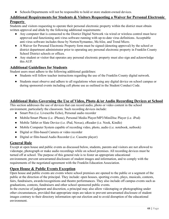• Schools/Departments will not be responsible to hold or store student-owned devices.

## **Additional Requirements for Students & Visitors Requesting a Waiver for Personal Electronic Property**

Students and visitors requesting to operate their personal electronic property within the district must obtain written approval and abide by the following additional requirements:

- Any computer that is connected to the District Digital Network via wired or wireless control must have approved and functioning anti-virus software running with up-to-date virus definitions. Acceptable anti-virus software includes those by Norton/Symantec, McAfee, and Trend Micro.
- A Waiver for Personal Electronic Property form must be signed (denoting approval) by the school or district department administrator prior to operating any personal electronic property in Franklin County School District schools or offices.
- Any student or visitor that operates any personal electronic property must also sign and acknowledge this AUP.

# **Additional Guidelines for Students**

Student users must adhere to the following additional guidelines:

- Students will follow teacher instructions regarding the use of the Franklin County digital network.
- Students must observe and adhere to all regulations when using any digital device on school campus or during sponsored events including cell phone use as outlined in the Student Conduct Code.

## **Additional Rules Governing the Use of Video, Photo &/or Audio Recording Devices at School**

This section addresses the use of devices that can record audio, photo or video content in the school environment, particularly the classroom. Such recording devices include:

- Smart Pen (i.e. Livescribe Echo), Personal audio recorder
- Mobile/Smart Phone (i.e. iPhone), Personal Media Player/MP3/MiniDisc Player (i.e. iPod)
- Mobile Tablet or Slate Device (i.e. iPad, Nexus), eReader (i.e. Nook, Kindle)
- Mobile Computer System capable of recording video, photo, audio (i.e. notebook, netbook)
- Digital or film-based Camera or video recorder
- Digital or film-based Audio Recorder (i.e. Cassette player)

## **General Rule**

Except at open house and public events as discussed below, students, parents and visitors are not allowed to videotape, photograph or make audio recordings while on school premises. All recording devices must be turned off at school. The purpose of this general rule is to foster an appropriate educational environment, prevent unwarranted disclosure of student images and information, and to comply with the requirements of the negotiated agreement with the Franklin Education Association.

## **Open House & Public Events Exception**

Open house and public events are events where school premises are opened to the public or a segment of the public at the direction of the principal. They include: open houses, sporting events, plays, musicals, contests, fairs, fundraisers, awards/recognitions and theatre performances. They also include off campus events such as graduations, contests, fundraisers and other school sponsored public events.

In the exercise of judgment and discretion, a principal may also allow videotaping or photographing under other circumstances, provided that appropriate steps are taken to prevent unwarranted disclosure of student images contrary to their directory information opt-out election and to avoid disruption of the educational environment.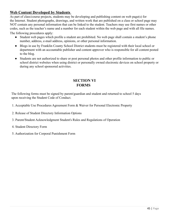## **Web Content Developed by Students**

As part of class/course projects, students may be developing and publishing content on web page(s) for the Internet. Student photographs, drawings, and written work that are published on a class or school page may NOT contain any personal information that can be linked to the student. Teachers may use first names or other codes, such as the teacher's name and a number for each student within the web page and with all file names.

The following procedures apply:

- Student web pages which profile a student are prohibited. No web page shall contain a student's phone number, address, e-mail address, opinions, or other personal information.
- Blogs in use by Franklin County School District students must be registered with their local school or department with an accountable publisher and content approver who is responsible for all content posted to the blog.
- Students are not authorized to share or post personal photos and other profile information to public or school district websites when using district or personally owned electronic devices on school property or during any school sponsored activities.

## **SECTION VI FORMS**

The following forms must be signed by parent/guardian and student and returned to school 5 days upon receiving the Student Code of Conduct.

1. Acceptable Use Procedures Agreement Form & Waiver for Personal Electronic Property

- 2. Release of Student Directory Information Options
- 3. Parent/Student Acknowledgment Student's Rules and Regulations of Operation
- 4. Student Directory Form
- 5. Authorization for Corporal Punishment Form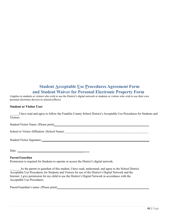# **Student Acceptable Use Procedures Agreement Form and Student Waiver for Personal Electronic Property Form**

(Applies to students or visitors who wish to use the District's digital network or students or visitors who wish to use their own personal electronic devices in schools/offices)

#### **Student or Visitor User**

\_\_\_\_\_\_I have read and agree to follow the Franklin County School District's Acceptable Use Procedures for Students and Visitors.

Student/Visitor Name: (Please print) \_\_\_\_\_\_\_\_\_\_\_\_\_\_\_\_\_\_\_\_\_\_\_\_\_\_\_\_\_\_\_\_\_\_\_\_\_\_\_\_\_\_\_\_\_\_\_\_\_\_\_\_\_\_\_\_\_\_\_\_\_

School or Visitor Affiliation: (School Name) \_\_\_\_\_\_\_\_\_\_\_\_\_\_\_\_\_\_\_\_\_\_\_\_\_\_\_\_\_\_\_\_\_\_\_\_\_\_\_\_\_\_\_\_\_\_\_\_\_\_\_\_\_\_\_

Student/Visitor Signature: \_\_\_\_\_\_\_\_\_\_\_\_\_\_\_\_\_\_\_\_\_\_\_\_\_\_\_\_\_\_\_\_\_\_\_\_\_\_\_\_\_\_\_\_\_\_\_\_\_\_\_\_\_\_\_\_\_\_\_\_\_\_\_\_\_\_\_\_\_\_

Date: \_\_\_\_\_\_\_\_\_\_\_\_\_\_\_\_\_\_\_\_\_\_\_\_\_\_\_\_\_\_\_\_\_\_\_\_\_\_\_\_\_\_\_

#### **Parent/Guardian**

Permission is required for Students to operate or access the District's digital network.

\_\_\_\_\_\_\_As the parent or guardian of this student, I have read, understand, and agree to the School District Acceptable Use Procedures for Students and Visitors for use of the District's Digital Network and the Internet. I give permission for my child to use the District's Digital Network in accordance with the Acceptable Use Procedures.

Parent/Guardian's name: (Please print)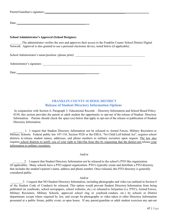| Parent/Guardian's signature: |  |
|------------------------------|--|
|                              |  |

 $Date:$ 

#### **School Administrator's Approval (School Designee)**

The administrator verifies the user and approves their access to the Franklin County School District Digital Network. Approval is also granted to use a personal electronic device, noted below (if applicable).

School Administrator's name/position: (please print)

Administrator's signature:

 $Date:$ 

#### **FRANKLIN COUNTY SCHOOL DISTRICT Release of Student Directory Information Options**

In conjunction with Section 6, Paragraph 3: Educational Records – Directory Information and School Board Policy 8330, this section provides the parent or adult student the opportunity to opt-out of the release of Student Directory Information. Parents should check the space (es) below that apply to opt-out of the release or publication of Student Directory Information:

1. I request that Student Directory Information not be released to Armed Forces, Military Recruiters or Military Schools. Federal public law 107-110, Section 9528 or the ESEA, "No Child Left behind Act", requires school districts to release student names, addresses, and phone numbers to military recruiters upon request. The law also requires school districts to notify you of your right to Opt-Out from this by requesting that the district not release your information to military recruiters.

And/or

2. I request that Student Directory Information not be released to the school's PTO like organization (If applicable). Many schools have a PTO support organization. PTO's typically create and distribute a PTO directory that includes the student's/parent's name, address and phone number. Once released, this PTO directory is generally considered public.

#### And/or

3. I request that NO Student Directory Information, including photographs and video (as outlined in Section 6 of the Student Code of Conduct) be released. This option would prevent Student Directory Information from being published (in yearbooks, school newspapers, school websites, etc.) or released to 3rd parties (i.e. PTO's, Armed Forces, Military Recruiters, Military Schools, approved school ring or yearbook vendors, etc.) by schools or District departments except where required by law, and except for photographs or video taken or other Directory Information presented at a public forum, public event, or open house. If any parent/guardian or adult student exercises any opt-out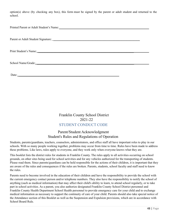option(s) above (by checking any box), this form must be signed by the parent or adult student and returned to the school.

Printed Parent or Adult Student's Name: \_\_\_\_\_\_\_\_\_\_\_\_\_\_\_\_\_\_\_\_\_\_\_\_\_\_\_\_\_\_\_\_\_\_\_\_\_\_\_\_\_\_\_\_\_\_\_\_\_\_

Parent or Adult Student Signature: \_\_\_\_\_\_\_\_\_\_\_\_\_\_\_\_\_\_\_\_\_\_\_\_\_\_\_\_\_\_\_\_\_\_\_\_\_\_\_\_\_\_\_\_\_\_\_\_\_\_\_\_\_\_\_\_\_

Print Student's Name:

School Name/Grade:

Date:

Franklin County School District 2021-22 STUDENT CONDUCT CODE

## Parent/Student Acknowledgment Student's Rules and Regulations of Operation

Students, parents/guardians, teachers, counselors, administrators, and office staff all have important roles to play in our schools. With so many people working together, problems may occur from time to time. Rules have been made to address these problems. Like laws, rules apply to everyone, and they work only when everyone knows what they are.

This booklet lists the district rules for students in Franklin County. The rules apply to all activities occurring on school grounds, on other sites being used for school activities and for any vehicles authorized for the transporting of students. Please read them. Since parents/guardians can be held responsible for the actions of their children, it is important that they are aware of the rules and consequences if the rules are broken. Parents, students, school faculty and staff need to know the rules.

Parents need to become involved in the education of their children and have the responsibility to provide the school with the current emergency contact person and/or telephone numbers. They also have the responsibility to notify the school of anything (such as medical information) that may affect their child's ability to learn, to attend school regularly, or to take part in school activities. As a parent, you also authorize designated Franklin County School District personnel and Franklin County Health Department School Health personnel to provide emergency care for your child and to exchange medical information as necessary to support the continuity of care of your child. Parents should also take special notice of the Attendance section of this Booklet as well as the Suspension and Expulsion provisions, which are in accordance with School Board Rule.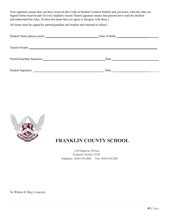Your signature means that you have received this Code of Student Conduct booklet and you know what the rules are. Signed forms must be part of every student's record. Parent signature means that parents have read this booklet and understand the rules. (It does not mean that you agree or disagree with them.)

All forms must be signed by parent/guardian and student and returned to school.

|                                                                                                                                                                                                                                | Date of Birth: 2008                                                                                                                                                                                                                                                                                                                                                                                                                               |  |
|--------------------------------------------------------------------------------------------------------------------------------------------------------------------------------------------------------------------------------|---------------------------------------------------------------------------------------------------------------------------------------------------------------------------------------------------------------------------------------------------------------------------------------------------------------------------------------------------------------------------------------------------------------------------------------------------|--|
|                                                                                                                                                                                                                                |                                                                                                                                                                                                                                                                                                                                                                                                                                                   |  |
| Parent/Guardian Signature: Management of the Contract of the Contract of the Contract of the Contract of the Contract of the Contract of the Contract of the Contract of the Contract of the Contract of the Contract of the C | Date: $\frac{1}{\sqrt{1-\frac{1}{2}} \cdot \frac{1}{\sqrt{1-\frac{1}{2}} \cdot \frac{1}{\sqrt{1-\frac{1}{2}} \cdot \frac{1}{\sqrt{1-\frac{1}{2}} \cdot \frac{1}{\sqrt{1-\frac{1}{2}} \cdot \frac{1}{\sqrt{1-\frac{1}{2}} \cdot \frac{1}{\sqrt{1-\frac{1}{2}} \cdot \frac{1}{\sqrt{1-\frac{1}{2}} \cdot \frac{1}{\sqrt{1-\frac{1}{2}} \cdot \frac{1}{\sqrt{1-\frac{1}{2}} \cdot \frac{1}{\sqrt{1-\frac{1}{2}} \cdot \frac{1}{\sqrt{1-\frac{1}{2}}$ |  |
|                                                                                                                                                                                                                                | Date: $\frac{1}{\sqrt{1-\frac{1}{2}} \cdot \frac{1}{\sqrt{1-\frac{1}{2}} \cdot \frac{1}{\sqrt{1-\frac{1}{2}} \cdot \frac{1}{\sqrt{1-\frac{1}{2}} \cdot \frac{1}{\sqrt{1-\frac{1}{2}} \cdot \frac{1}{\sqrt{1-\frac{1}{2}} \cdot \frac{1}{\sqrt{1-\frac{1}{2}} \cdot \frac{1}{\sqrt{1-\frac{1}{2}} \cdot \frac{1}{\sqrt{1-\frac{1}{2}} \cdot \frac{1}{\sqrt{1-\frac{1}{2}} \cdot \frac{1}{\sqrt{1-\frac{1}{2}} \cdot \frac{1}{\sqrt{1-\frac{1}{2}}$ |  |



# **FRANKLIN COUNTY SCHOOL**

1250 Highway 98 East Eastpoint, Florida 32328 Telephone: (850) 670-2800 Fax: (850) 670-2801

To Whom It May Concern,